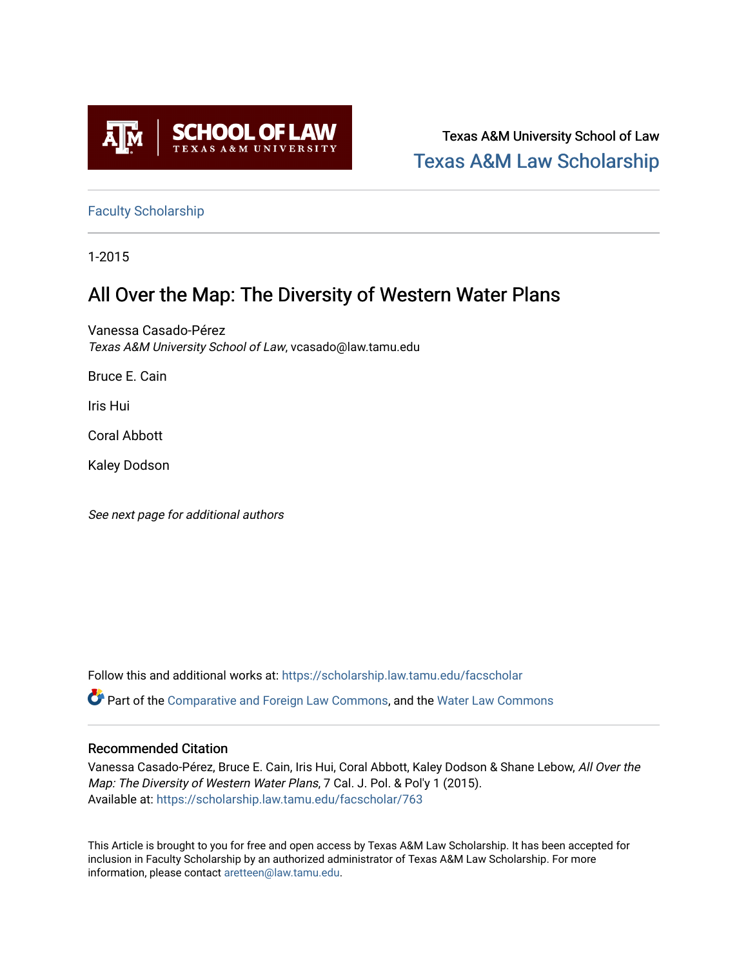

Texas A&M University School of Law [Texas A&M Law Scholarship](https://scholarship.law.tamu.edu/) 

[Faculty Scholarship](https://scholarship.law.tamu.edu/facscholar)

1-2015

# All Over the Map: The Diversity of Western Water Plans

Vanessa Casado-Pérez Texas A&M University School of Law, vcasado@law.tamu.edu

Bruce E. Cain

Iris Hui

Coral Abbott

Kaley Dodson

See next page for additional authors

Follow this and additional works at: [https://scholarship.law.tamu.edu/facscholar](https://scholarship.law.tamu.edu/facscholar?utm_source=scholarship.law.tamu.edu%2Ffacscholar%2F763&utm_medium=PDF&utm_campaign=PDFCoverPages) 

Part of the [Comparative and Foreign Law Commons,](http://network.bepress.com/hgg/discipline/836?utm_source=scholarship.law.tamu.edu%2Ffacscholar%2F763&utm_medium=PDF&utm_campaign=PDFCoverPages) and the [Water Law Commons](http://network.bepress.com/hgg/discipline/887?utm_source=scholarship.law.tamu.edu%2Ffacscholar%2F763&utm_medium=PDF&utm_campaign=PDFCoverPages)

#### Recommended Citation

Vanessa Casado-Pérez, Bruce E. Cain, Iris Hui, Coral Abbott, Kaley Dodson & Shane Lebow, All Over the Map: The Diversity of Western Water Plans, 7 Cal. J. Pol. & Pol'y 1 (2015). Available at: [https://scholarship.law.tamu.edu/facscholar/763](https://scholarship.law.tamu.edu/facscholar/763?utm_source=scholarship.law.tamu.edu%2Ffacscholar%2F763&utm_medium=PDF&utm_campaign=PDFCoverPages)

This Article is brought to you for free and open access by Texas A&M Law Scholarship. It has been accepted for inclusion in Faculty Scholarship by an authorized administrator of Texas A&M Law Scholarship. For more information, please contact [aretteen@law.tamu.edu](mailto:aretteen@law.tamu.edu).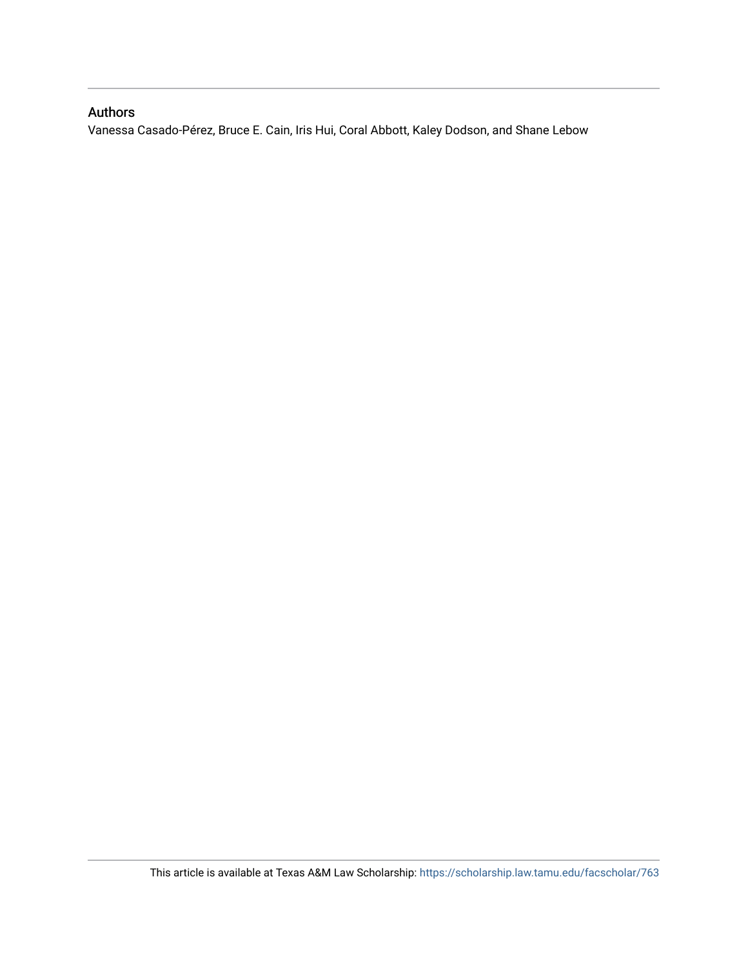## Authors

Vanessa Casado-Pérez, Bruce E. Cain, Iris Hui, Coral Abbott, Kaley Dodson, and Shane Lebow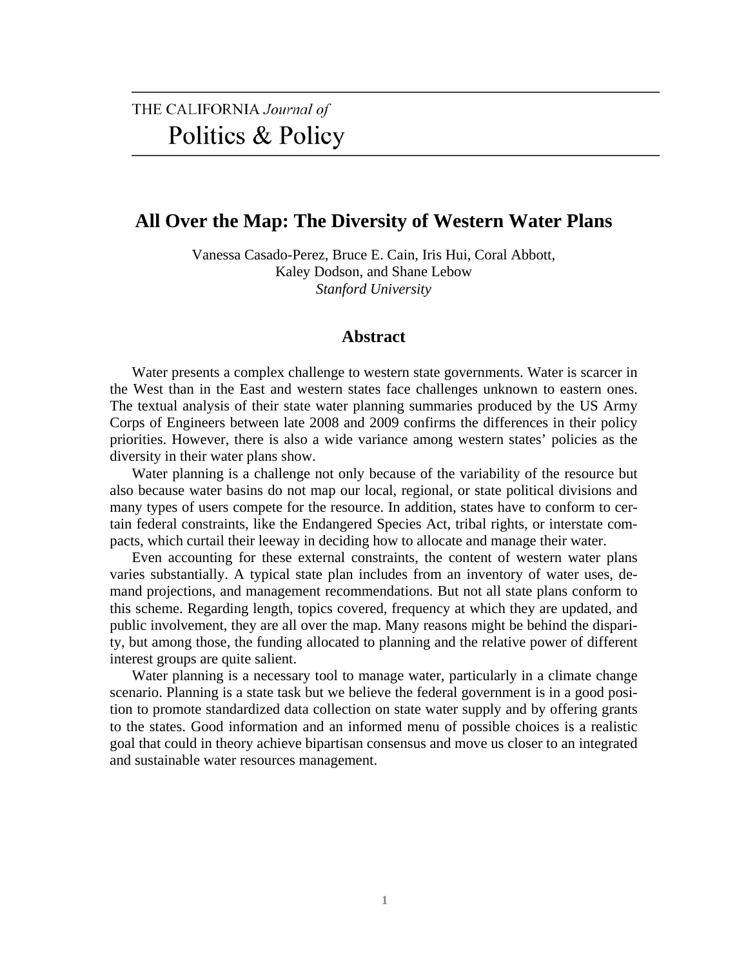## **All Over the Map: The Diversity of Western Water Plans**

Vanessa Casado-Perez, Bruce E. Cain, Iris Hui, Coral Abbott, Kaley Dodson, and Shane Lebow *Stanford University* 

#### **Abstract**

Water presents a complex challenge to western state governments. Water is scarcer in the West than in the East and western states face challenges unknown to eastern ones. The textual analysis of their state water planning summaries produced by the US Army Corps of Engineers between late 2008 and 2009 confirms the differences in their policy priorities. However, there is also a wide variance among western states' policies as the diversity in their water plans show.

Water planning is a challenge not only because of the variability of the resource but also because water basins do not map our local, regional, or state political divisions and many types of users compete for the resource. In addition, states have to conform to certain federal constraints, like the Endangered Species Act, tribal rights, or interstate compacts, which curtail their leeway in deciding how to allocate and manage their water.

Even accounting for these external constraints, the content of western water plans varies substantially. A typical state plan includes from an inventory of water uses, demand projections, and management recommendations. But not all state plans conform to this scheme. Regarding length, topics covered, frequency at which they are updated, and public involvement, they are all over the map. Many reasons might be behind the disparity, but among those, the funding allocated to planning and the relative power of different interest groups are quite salient.

Water planning is a necessary tool to manage water, particularly in a climate change scenario. Planning is a state task but we believe the federal government is in a good position to promote standardized data collection on state water supply and by offering grants to the states. Good information and an informed menu of possible choices is a realistic goal that could in theory achieve bipartisan consensus and move us closer to an integrated and sustainable water resources management.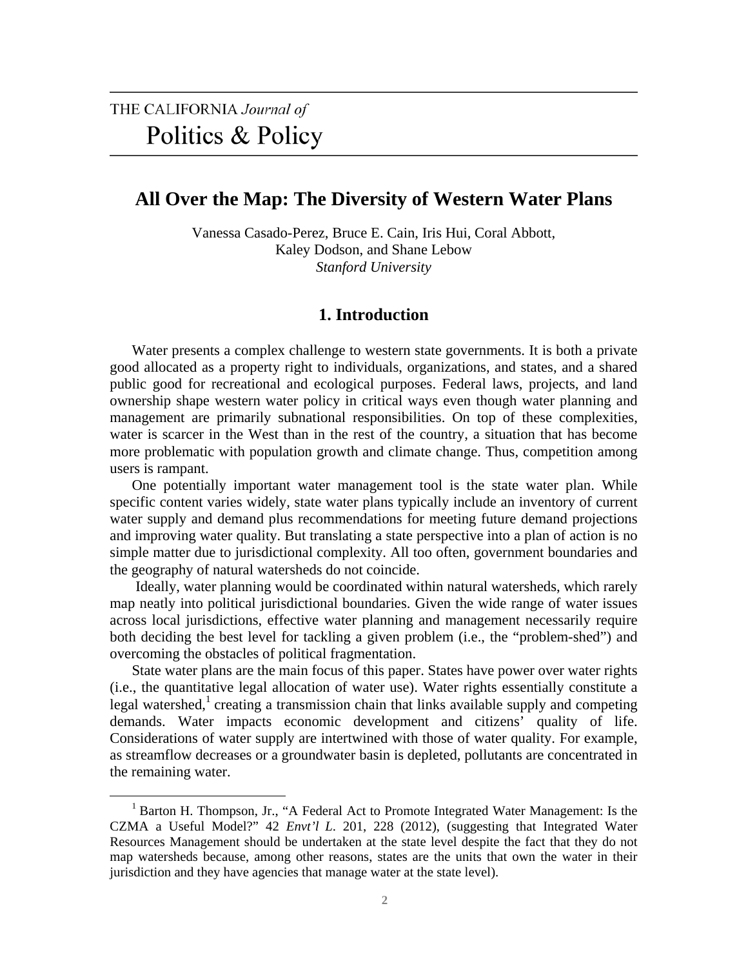# **All Over the Map: The Diversity of Western Water Plans**

Vanessa Casado-Perez, Bruce E. Cain, Iris Hui, Coral Abbott, Kaley Dodson, and Shane Lebow *Stanford University* 

### **1. Introduction**

Water presents a complex challenge to western state governments. It is both a private good allocated as a property right to individuals, organizations, and states, and a shared public good for recreational and ecological purposes. Federal laws, projects, and land ownership shape western water policy in critical ways even though water planning and management are primarily subnational responsibilities. On top of these complexities, water is scarcer in the West than in the rest of the country, a situation that has become more problematic with population growth and climate change. Thus, competition among users is rampant.

One potentially important water management tool is the state water plan. While specific content varies widely, state water plans typically include an inventory of current water supply and demand plus recommendations for meeting future demand projections and improving water quality. But translating a state perspective into a plan of action is no simple matter due to jurisdictional complexity. All too often, government boundaries and the geography of natural watersheds do not coincide.

 Ideally, water planning would be coordinated within natural watersheds, which rarely map neatly into political jurisdictional boundaries. Given the wide range of water issues across local jurisdictions, effective water planning and management necessarily require both deciding the best level for tackling a given problem (i.e., the "problem-shed") and overcoming the obstacles of political fragmentation.

State water plans are the main focus of this paper. States have power over water rights (i.e., the quantitative legal allocation of water use). Water rights essentially constitute a  $\log$ al watershed,<sup>1</sup> creating a transmission chain that links available supply and competing demands. Water impacts economic development and citizens' quality of life. Considerations of water supply are intertwined with those of water quality. For example, as streamflow decreases or a groundwater basin is depleted, pollutants are concentrated in the remaining water.

 $\frac{1}{1}$ <sup>1</sup> Barton H. Thompson, Jr., "A Federal Act to Promote Integrated Water Management: Is the CZMA a Useful Model?" 42 *Envt'l L*. 201, 228 (2012), (suggesting that Integrated Water Resources Management should be undertaken at the state level despite the fact that they do not map watersheds because, among other reasons, states are the units that own the water in their jurisdiction and they have agencies that manage water at the state level).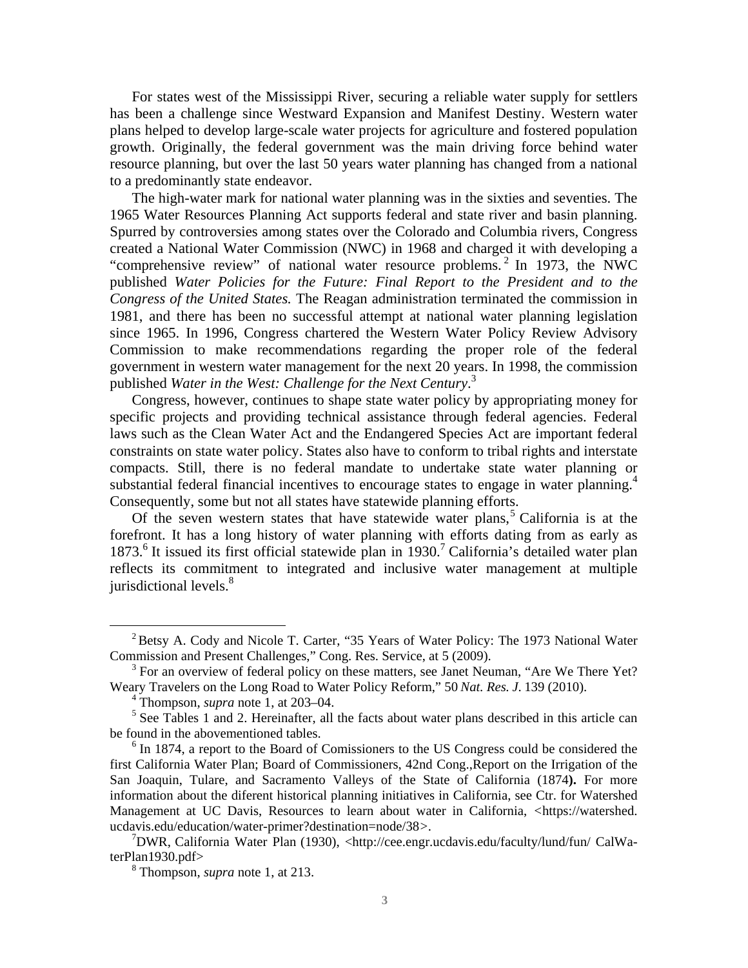For states west of the Mississippi River, securing a reliable water supply for settlers has been a challenge since Westward Expansion and Manifest Destiny. Western water plans helped to develop large-scale water projects for agriculture and fostered population growth. Originally, the federal government was the main driving force behind water resource planning, but over the last 50 years water planning has changed from a national to a predominantly state endeavor.

The high-water mark for national water planning was in the sixties and seventies. The 1965 Water Resources Planning Act supports federal and state river and basin planning. Spurred by controversies among states over the Colorado and Columbia rivers, Congress created a National Water Commission (NWC) in 1968 and charged it with developing a "comprehensive review" of national water resource problems. 2 In 1973, the NWC published *Water Policies for the Future: Final Report to the President and to the Congress of the United States.* The Reagan administration terminated the commission in 1981, and there has been no successful attempt at national water planning legislation since 1965. In 1996, Congress chartered the Western Water Policy Review Advisory Commission to make recommendations regarding the proper role of the federal government in western water management for the next 20 years. In 1998, the commission published *Water in the West: Challenge for the Next Century*. 3

Congress, however, continues to shape state water policy by appropriating money for specific projects and providing technical assistance through federal agencies. Federal laws such as the Clean Water Act and the Endangered Species Act are important federal constraints on state water policy. States also have to conform to tribal rights and interstate compacts. Still, there is no federal mandate to undertake state water planning or substantial federal financial incentives to encourage states to engage in water planning.<sup>4</sup> Consequently, some but not all states have statewide planning efforts.

Of the seven western states that have statewide water plans,<sup>5</sup> California is at the forefront. It has a long history of water planning with efforts dating from as early as 1873.<sup>6</sup> It issued its first official statewide plan in 1930.<sup>7</sup> California's detailed water plan reflects its commitment to integrated and inclusive water management at multiple jurisdictional levels.<sup>8</sup>

<sup>&</sup>lt;sup>2</sup> Betsy A. Cody and Nicole T. Carter, "35 Years of Water Policy: The 1973 National Water Commission and Present Challenges," Cong. Res. Service, at 5 (2009).

<sup>&</sup>lt;sup>3</sup> For an overview of federal policy on these matters, see Janet Neuman, "Are We There Yet? Weary Travelers on the Long Road to Water Policy Reform," 50 *Nat. Res. J*. 139 (2010).

<sup>4</sup> Thompson, *supra* note 1, at 203–04.

 $<sup>5</sup>$  See Tables 1 and 2. Hereinafter, all the facts about water plans described in this article can</sup> be found in the abovementioned tables.

<sup>&</sup>lt;sup>6</sup> In 1874, a report to the Board of Comissioners to the US Congress could be considered the first California Water Plan; Board of Commissioners, 42nd Cong.,Report on the Irrigation of the San Joaquin, Tulare, and Sacramento Valleys of the State of California (1874**).** For more information about the diferent historical planning initiatives in California, see Ctr. for Watershed Management at UC Davis, Resources to learn about water in California, *<*https://watershed. ucdavis.edu/education/water-primer?destination=node/38*>.* 

<sup>&</sup>lt;sup>7</sup>DWR, California Water Plan (1930), <http://cee.engr.ucdavis.edu/faculty/lund/fun/ CalWaterPlan1930.pdf>

<sup>8</sup> Thompson, *supra* note 1, at 213.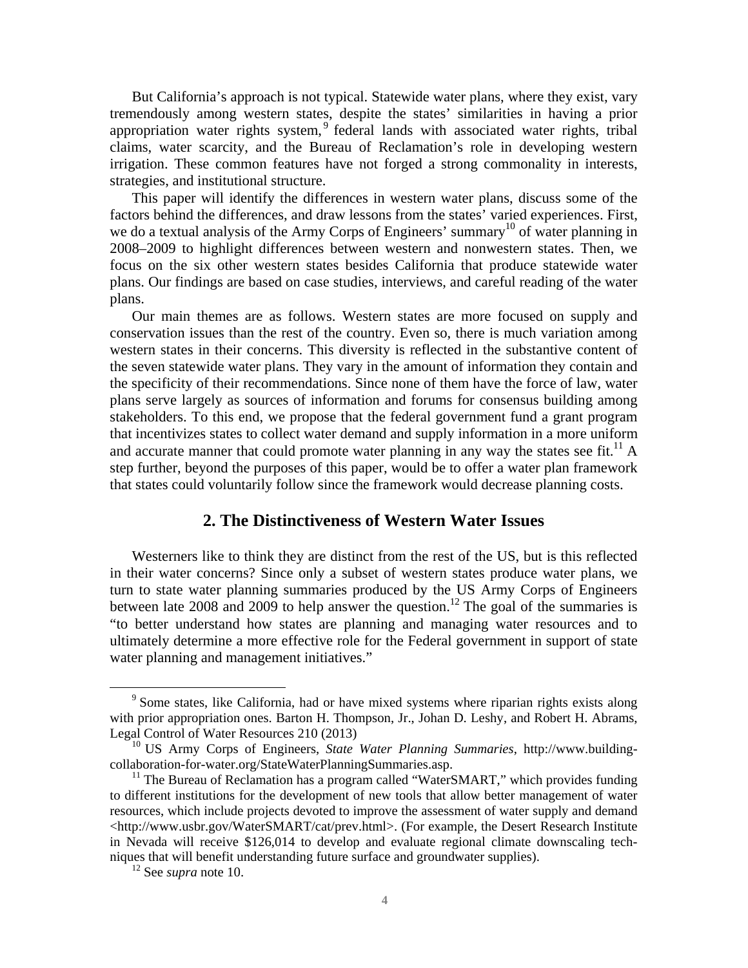But California's approach is not typical. Statewide water plans, where they exist, vary tremendously among western states, despite the states' similarities in having a prior appropriation water rights system,<sup>9</sup> federal lands with associated water rights, tribal claims, water scarcity, and the Bureau of Reclamation's role in developing western irrigation. These common features have not forged a strong commonality in interests, strategies, and institutional structure.

This paper will identify the differences in western water plans, discuss some of the factors behind the differences, and draw lessons from the states' varied experiences. First, we do a textual analysis of the Army Corps of Engineers' summary<sup>10</sup> of water planning in 2008–2009 to highlight differences between western and nonwestern states. Then, we focus on the six other western states besides California that produce statewide water plans. Our findings are based on case studies, interviews, and careful reading of the water plans.

Our main themes are as follows. Western states are more focused on supply and conservation issues than the rest of the country. Even so, there is much variation among western states in their concerns. This diversity is reflected in the substantive content of the seven statewide water plans. They vary in the amount of information they contain and the specificity of their recommendations. Since none of them have the force of law, water plans serve largely as sources of information and forums for consensus building among stakeholders. To this end, we propose that the federal government fund a grant program that incentivizes states to collect water demand and supply information in a more uniform and accurate manner that could promote water planning in any way the states see fit.<sup>11</sup> A step further, beyond the purposes of this paper, would be to offer a water plan framework that states could voluntarily follow since the framework would decrease planning costs.

## **2. The Distinctiveness of Western Water Issues**

Westerners like to think they are distinct from the rest of the US, but is this reflected in their water concerns? Since only a subset of western states produce water plans, we turn to state water planning summaries produced by the US Army Corps of Engineers between late 2008 and 2009 to help answer the question.<sup>12</sup> The goal of the summaries is "to better understand how states are planning and managing water resources and to ultimately determine a more effective role for the Federal government in support of state water planning and management initiatives."

 $\overline{9}$ <sup>9</sup> Some states, like California, had or have mixed systems where riparian rights exists along with prior appropriation ones. Barton H. Thompson, Jr., Johan D. Leshy, and Robert H. Abrams, Legal Control of Water Resources 210 (2013)

<sup>10</sup> US Army Corps of Engineers, *State Water Planning Summaries*, http://www.buildingcollaboration-for-water.org/StateWaterPlanningSummaries.asp.

<sup>&</sup>lt;sup>11</sup> The Bureau of Reclamation has a program called "WaterSMART," which provides funding to different institutions for the development of new tools that allow better management of water resources, which include projects devoted to improve the assessment of water supply and demand <http://www.usbr.gov/WaterSMART/cat/prev.html>. (For example, the Desert Research Institute in Nevada will receive \$126,014 to develop and evaluate regional climate downscaling techniques that will benefit understanding future surface and groundwater supplies).

<sup>12</sup> See *supra* note 10.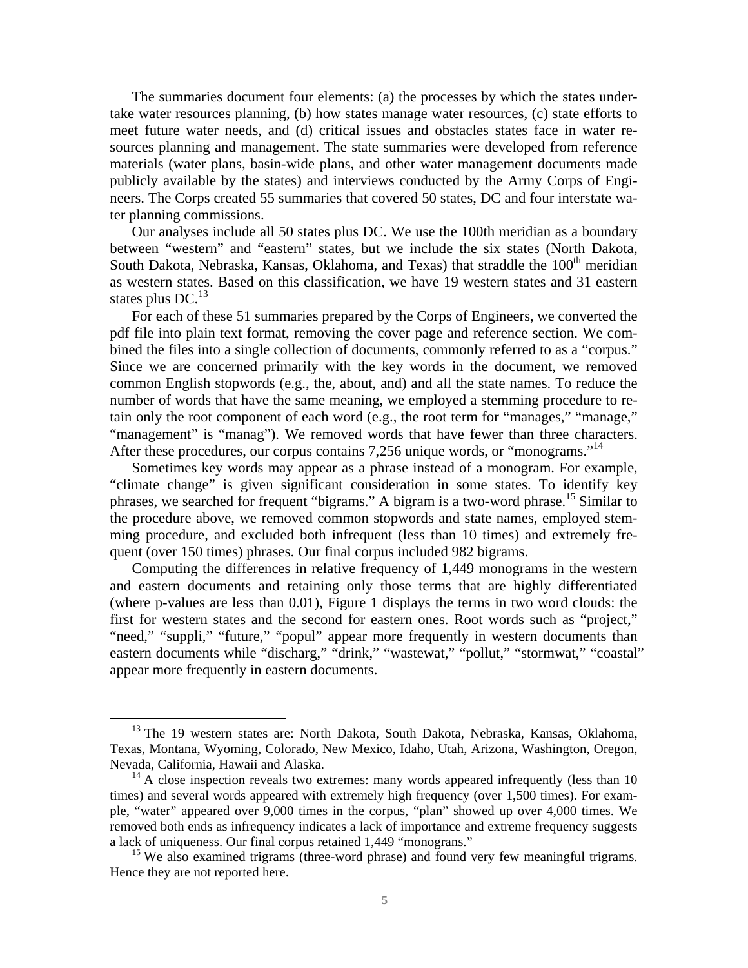The summaries document four elements: (a) the processes by which the states undertake water resources planning, (b) how states manage water resources, (c) state efforts to meet future water needs, and (d) critical issues and obstacles states face in water resources planning and management. The state summaries were developed from reference materials (water plans, basin-wide plans, and other water management documents made publicly available by the states) and interviews conducted by the Army Corps of Engineers. The Corps created 55 summaries that covered 50 states, DC and four interstate water planning commissions.

Our analyses include all 50 states plus DC. We use the 100th meridian as a boundary between "western" and "eastern" states, but we include the six states (North Dakota, South Dakota, Nebraska, Kansas, Oklahoma, and Texas) that straddle the 100<sup>th</sup> meridian as western states. Based on this classification, we have 19 western states and 31 eastern states plus  $DC<sup>13</sup>$ 

For each of these 51 summaries prepared by the Corps of Engineers, we converted the pdf file into plain text format, removing the cover page and reference section. We combined the files into a single collection of documents, commonly referred to as a "corpus." Since we are concerned primarily with the key words in the document, we removed common English stopwords (e.g., the, about, and) and all the state names. To reduce the number of words that have the same meaning, we employed a stemming procedure to retain only the root component of each word (e.g., the root term for "manages," "manage," "management" is "manag"). We removed words that have fewer than three characters. After these procedures, our corpus contains 7,256 unique words, or "monograms."<sup>14</sup>

Sometimes key words may appear as a phrase instead of a monogram. For example, "climate change" is given significant consideration in some states. To identify key phrases, we searched for frequent "bigrams." A bigram is a two-word phrase.<sup>15</sup> Similar to the procedure above, we removed common stopwords and state names, employed stemming procedure, and excluded both infrequent (less than 10 times) and extremely frequent (over 150 times) phrases. Our final corpus included 982 bigrams.

Computing the differences in relative frequency of 1,449 monograms in the western and eastern documents and retaining only those terms that are highly differentiated (where p-values are less than 0.01), Figure 1 displays the terms in two word clouds: the first for western states and the second for eastern ones. Root words such as "project," "need," "suppli," "future," "popul" appear more frequently in western documents than eastern documents while "discharg," "drink," "wastewat," "pollut," "stormwat," "coastal" appear more frequently in eastern documents.

<sup>&</sup>lt;sup>13</sup> The 19 western states are: North Dakota, South Dakota, Nebraska, Kansas, Oklahoma, Texas, Montana, Wyoming, Colorado, New Mexico, Idaho, Utah, Arizona, Washington, Oregon, Nevada, California, Hawaii and Alaska.

 $14$  A close inspection reveals two extremes: many words appeared infrequently (less than 10) times) and several words appeared with extremely high frequency (over 1,500 times). For example, "water" appeared over 9,000 times in the corpus, "plan" showed up over 4,000 times. We removed both ends as infrequency indicates a lack of importance and extreme frequency suggests a lack of uniqueness. Our final corpus retained 1,449 "monograns."

<sup>&</sup>lt;sup>15</sup> We also examined trigrams (three-word phrase) and found very few meaningful trigrams. Hence they are not reported here.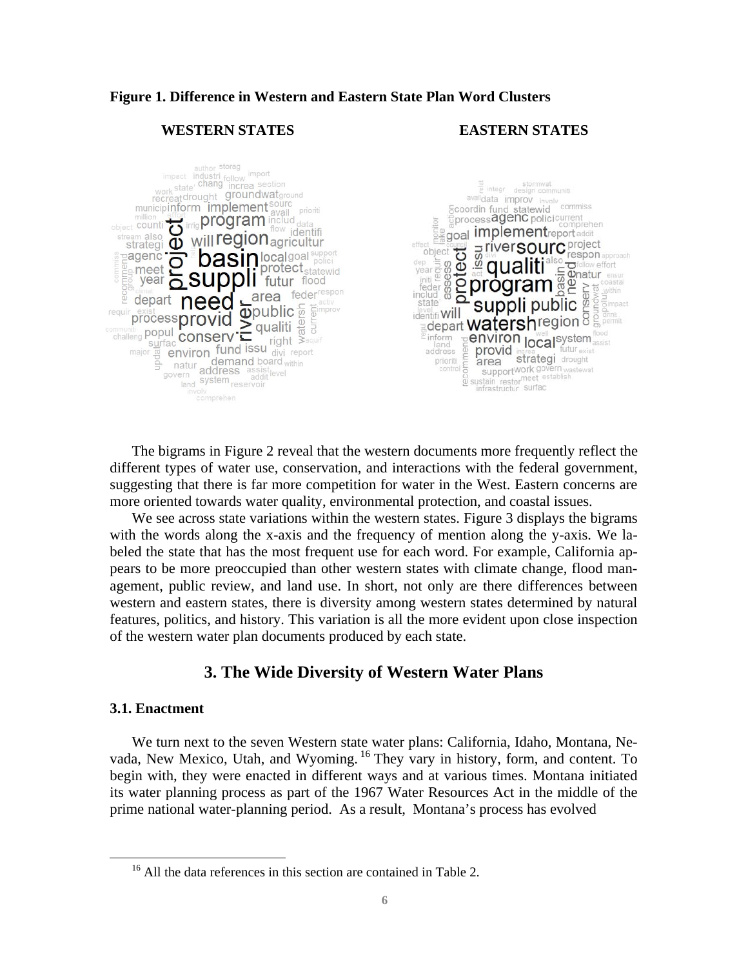#### **Figure 1. Difference in Western and Eastern State Plan Word Clusters**

#### **WESTERN STATES EASTERN STATES**



The bigrams in Figure 2 reveal that the western documents more frequently reflect the different types of water use, conservation, and interactions with the federal government, suggesting that there is far more competition for water in the West. Eastern concerns are more oriented towards water quality, environmental protection, and coastal issues.

We see across state variations within the western states. Figure 3 displays the bigrams with the words along the x-axis and the frequency of mention along the y-axis. We labeled the state that has the most frequent use for each word. For example, California appears to be more preoccupied than other western states with climate change, flood management, public review, and land use. In short, not only are there differences between western and eastern states, there is diversity among western states determined by natural features, politics, and history. This variation is all the more evident upon close inspection of the western water plan documents produced by each state.

## **3. The Wide Diversity of Western Water Plans**

#### **3.1. Enactment**

We turn next to the seven Western state water plans: California, Idaho, Montana, Nevada, New Mexico, Utah, and Wyoming. 16 They vary in history, form, and content. To begin with, they were enacted in different ways and at various times. Montana initiated its water planning process as part of the 1967 Water Resources Act in the middle of the prime national water-planning period. As a result, Montana's process has evolved

<sup>&</sup>lt;sup>16</sup> All the data references in this section are contained in Table 2.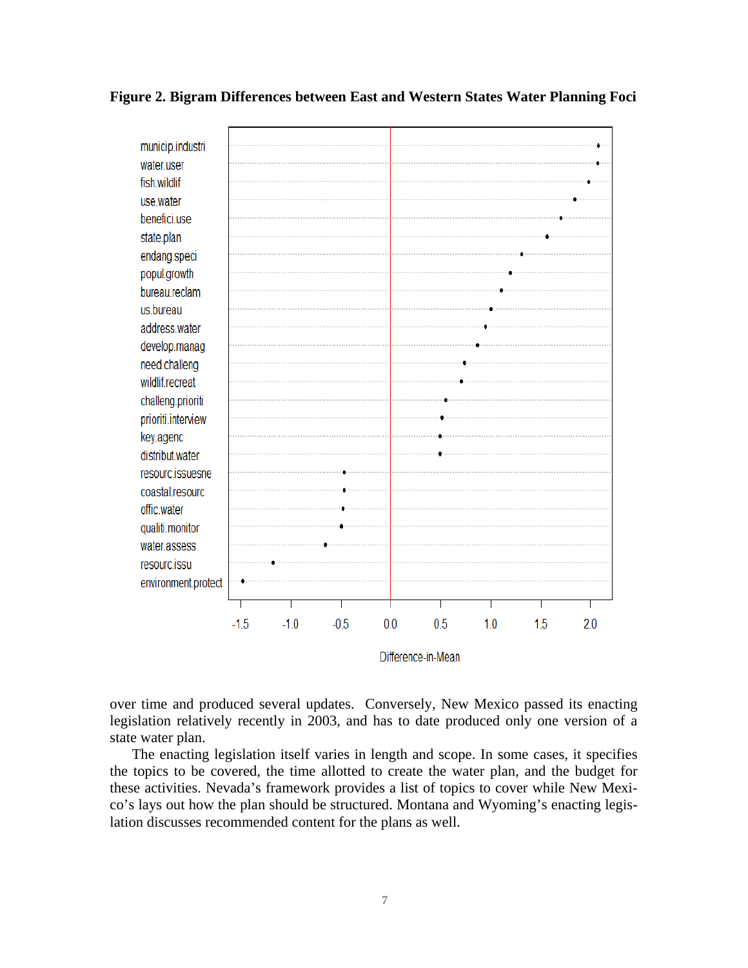#### **Figure 2. Bigram Differences between East and Western States Water Planning Foci**



over time and produced several updates. Conversely, New Mexico passed its enacting legislation relatively recently in 2003, and has to date produced only one version of a state water plan.

The enacting legislation itself varies in length and scope. In some cases, it specifies the topics to be covered, the time allotted to create the water plan, and the budget for these activities. Nevada's framework provides a list of topics to cover while New Mexico's lays out how the plan should be structured. Montana and Wyoming's enacting legislation discusses recommended content for the plans as well.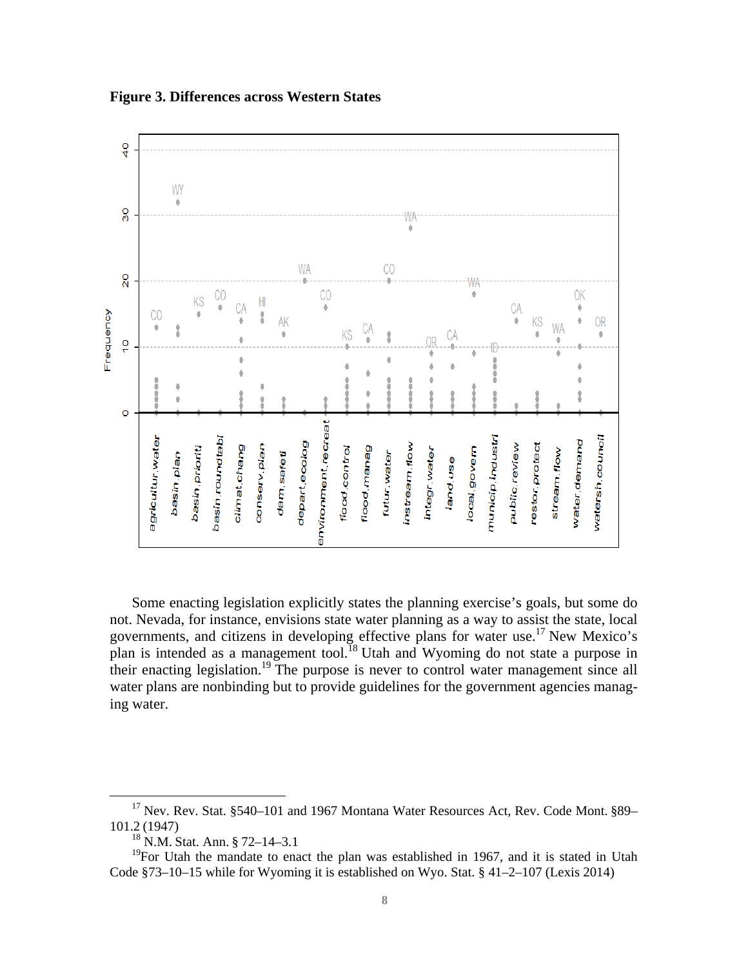

**Figure 3. Differences across Western States** 

Some enacting legislation explicitly states the planning exercise's goals, but some do not. Nevada, for instance, envisions state water planning as a way to assist the state, local governments, and citizens in developing effective plans for water use.<sup>17</sup> New Mexico's plan is intended as a management tool.<sup>18</sup> Utah and Wyoming do not state a purpose in their enacting legislation.<sup>19</sup> The purpose is never to control water management since all water plans are nonbinding but to provide guidelines for the government agencies managing water.

<sup>&</sup>lt;sup>17</sup> Nev. Rev. Stat. §540-101 and 1967 Montana Water Resources Act, Rev. Code Mont. §89-101.2 (1947)

<sup>18</sup> N.M. Stat. Ann. § 72–14–3.1

<sup>&</sup>lt;sup>19</sup>For Utah the mandate to enact the plan was established in 1967, and it is stated in Utah Code §73–10–15 while for Wyoming it is established on Wyo. Stat. § 41–2–107 (Lexis 2014)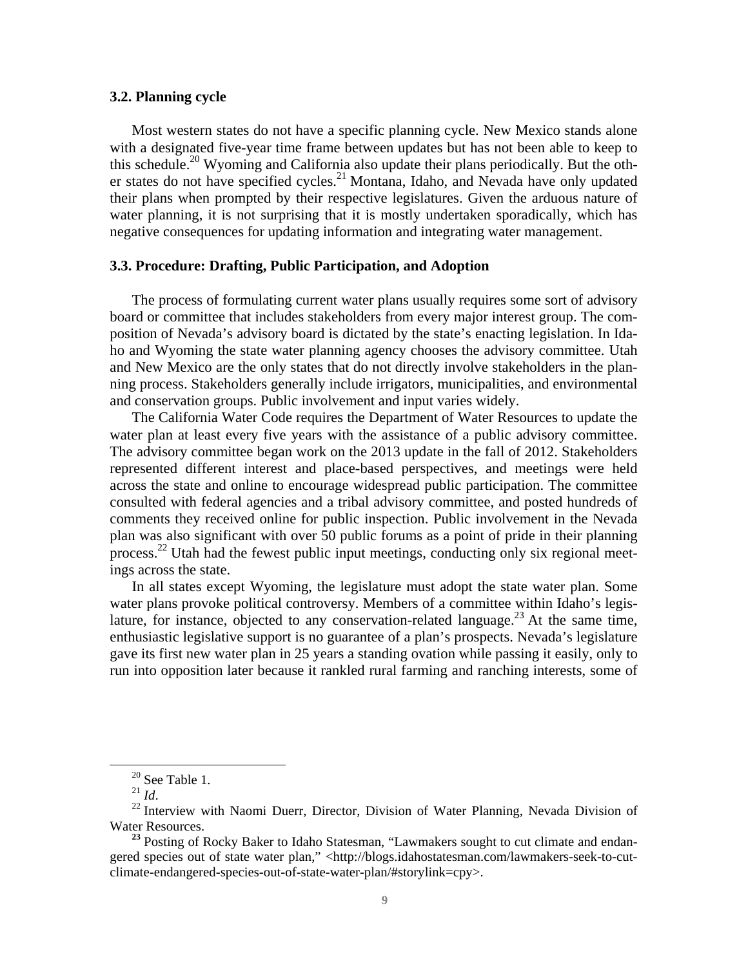#### **3.2. Planning cycle**

Most western states do not have a specific planning cycle. New Mexico stands alone with a designated five-year time frame between updates but has not been able to keep to this schedule.20 Wyoming and California also update their plans periodically. But the other states do not have specified cycles. $^{21}$  Montana, Idaho, and Nevada have only updated their plans when prompted by their respective legislatures. Given the arduous nature of water planning, it is not surprising that it is mostly undertaken sporadically, which has negative consequences for updating information and integrating water management.

#### **3.3. Procedure: Drafting, Public Participation, and Adoption**

The process of formulating current water plans usually requires some sort of advisory board or committee that includes stakeholders from every major interest group. The composition of Nevada's advisory board is dictated by the state's enacting legislation. In Idaho and Wyoming the state water planning agency chooses the advisory committee. Utah and New Mexico are the only states that do not directly involve stakeholders in the planning process. Stakeholders generally include irrigators, municipalities, and environmental and conservation groups. Public involvement and input varies widely.

The California Water Code requires the Department of Water Resources to update the water plan at least every five years with the assistance of a public advisory committee. The advisory committee began work on the 2013 update in the fall of 2012. Stakeholders represented different interest and place-based perspectives, and meetings were held across the state and online to encourage widespread public participation. The committee consulted with federal agencies and a tribal advisory committee, and posted hundreds of comments they received online for public inspection. Public involvement in the Nevada plan was also significant with over 50 public forums as a point of pride in their planning process.22 Utah had the fewest public input meetings, conducting only six regional meetings across the state.

In all states except Wyoming, the legislature must adopt the state water plan. Some water plans provoke political controversy. Members of a committee within Idaho's legislature, for instance, objected to any conservation-related language.<sup>23</sup> At the same time, enthusiastic legislative support is no guarantee of a plan's prospects. Nevada's legislature gave its first new water plan in 25 years a standing ovation while passing it easily, only to run into opposition later because it rankled rural farming and ranching interests, some of

 $^{20}$  See Table 1.<br><sup>21</sup> *Id* 

<sup>&</sup>lt;sup>22</sup> Interview with Naomi Duerr, Director, Division of Water Planning, Nevada Division of Water Resources.

<sup>&</sup>lt;sup>23</sup> Posting of Rocky Baker to Idaho Statesman, "Lawmakers sought to cut climate and endangered species out of state water plan," <http://blogs.idahostatesman.com/lawmakers-seek-to-cutclimate-endangered-species-out-of-state-water-plan/#storylink=cpy>.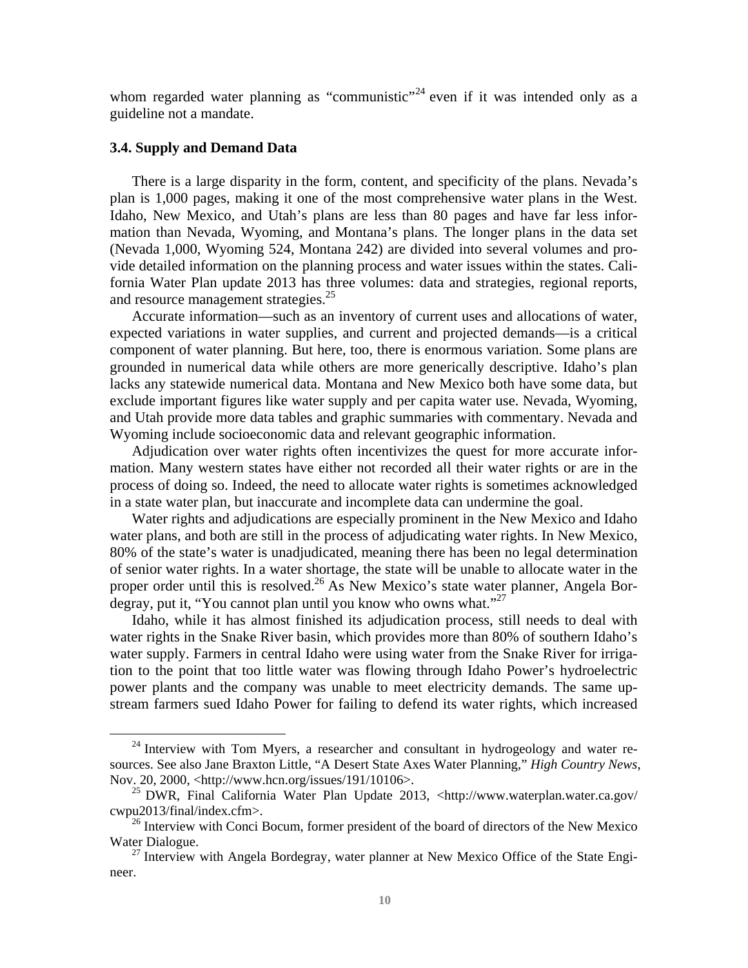whom regarded water planning as "communistic"<sup>24</sup> even if it was intended only as a guideline not a mandate.

#### **3.4. Supply and Demand Data**

There is a large disparity in the form, content, and specificity of the plans. Nevada's plan is 1,000 pages, making it one of the most comprehensive water plans in the West. Idaho, New Mexico, and Utah's plans are less than 80 pages and have far less information than Nevada, Wyoming, and Montana's plans. The longer plans in the data set (Nevada 1,000, Wyoming 524, Montana 242) are divided into several volumes and provide detailed information on the planning process and water issues within the states. California Water Plan update 2013 has three volumes: data and strategies, regional reports, and resource management strategies.<sup>25</sup>

Accurate information—such as an inventory of current uses and allocations of water, expected variations in water supplies, and current and projected demands—is a critical component of water planning. But here, too, there is enormous variation. Some plans are grounded in numerical data while others are more generically descriptive. Idaho's plan lacks any statewide numerical data. Montana and New Mexico both have some data, but exclude important figures like water supply and per capita water use. Nevada, Wyoming, and Utah provide more data tables and graphic summaries with commentary. Nevada and Wyoming include socioeconomic data and relevant geographic information.

Adjudication over water rights often incentivizes the quest for more accurate information. Many western states have either not recorded all their water rights or are in the process of doing so. Indeed, the need to allocate water rights is sometimes acknowledged in a state water plan, but inaccurate and incomplete data can undermine the goal.

Water rights and adjudications are especially prominent in the New Mexico and Idaho water plans, and both are still in the process of adjudicating water rights. In New Mexico, 80% of the state's water is unadjudicated, meaning there has been no legal determination of senior water rights. In a water shortage, the state will be unable to allocate water in the proper order until this is resolved.<sup>26</sup> As New Mexico's state water planner, Angela Bordegray, put it, "You cannot plan until you know who owns what."<sup>27</sup>

Idaho, while it has almost finished its adjudication process, still needs to deal with water rights in the Snake River basin, which provides more than 80% of southern Idaho's water supply. Farmers in central Idaho were using water from the Snake River for irrigation to the point that too little water was flowing through Idaho Power's hydroelectric power plants and the company was unable to meet electricity demands. The same upstream farmers sued Idaho Power for failing to defend its water rights, which increased

<sup>&</sup>lt;sup>24</sup> Interview with Tom Myers, a researcher and consultant in hydrogeology and water resources. See also Jane Braxton Little, "A Desert State Axes Water Planning," *High Country News*, Nov. 20, 2000, <http://www.hcn.org/issues/191/10106>.

<sup>&</sup>lt;sup>25</sup> DWR, Final California Water Plan Update 2013, <http://www.waterplan.water.ca.gov/ cwpu2013/final/index.cfm>.

<sup>&</sup>lt;sup>26</sup> Interview with Conci Bocum, former president of the board of directors of the New Mexico Water Dialogue.

<sup>&</sup>lt;sup>27</sup> Interview with Angela Bordegray, water planner at New Mexico Office of the State Engineer.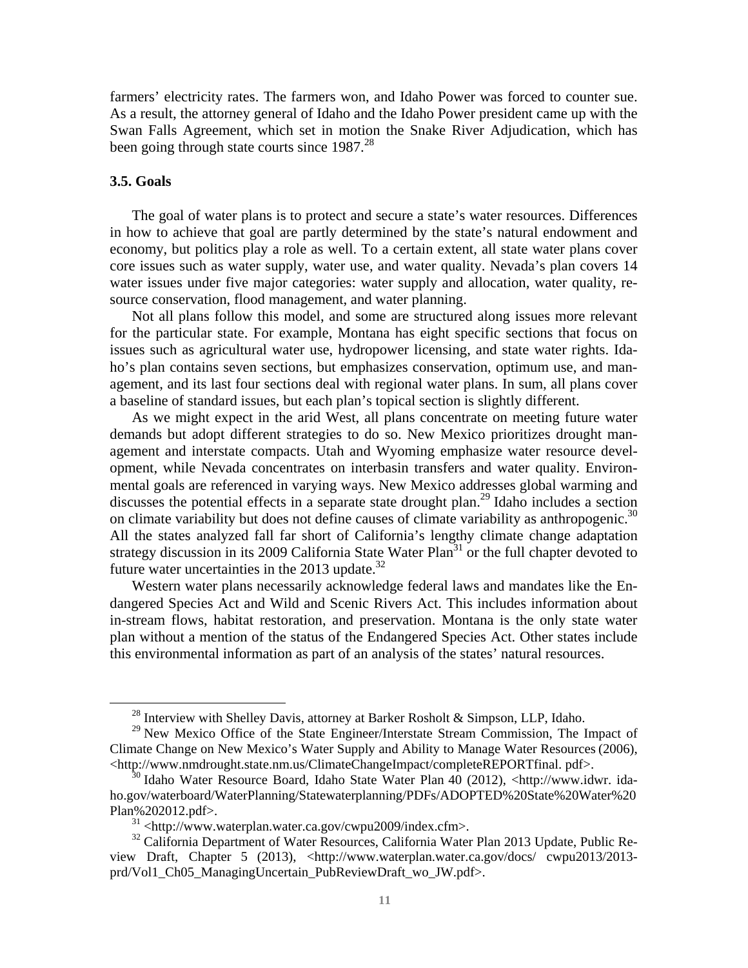farmers' electricity rates. The farmers won, and Idaho Power was forced to counter sue. As a result, the attorney general of Idaho and the Idaho Power president came up with the Swan Falls Agreement, which set in motion the Snake River Adjudication, which has been going through state courts since  $1987.<sup>28</sup>$ 

#### **3.5. Goals**

The goal of water plans is to protect and secure a state's water resources. Differences in how to achieve that goal are partly determined by the state's natural endowment and economy, but politics play a role as well. To a certain extent, all state water plans cover core issues such as water supply, water use, and water quality. Nevada's plan covers 14 water issues under five major categories: water supply and allocation, water quality, resource conservation, flood management, and water planning.

Not all plans follow this model, and some are structured along issues more relevant for the particular state. For example, Montana has eight specific sections that focus on issues such as agricultural water use, hydropower licensing, and state water rights. Idaho's plan contains seven sections, but emphasizes conservation, optimum use, and management, and its last four sections deal with regional water plans. In sum, all plans cover a baseline of standard issues, but each plan's topical section is slightly different.

As we might expect in the arid West, all plans concentrate on meeting future water demands but adopt different strategies to do so. New Mexico prioritizes drought management and interstate compacts. Utah and Wyoming emphasize water resource development, while Nevada concentrates on interbasin transfers and water quality. Environmental goals are referenced in varying ways. New Mexico addresses global warming and discusses the potential effects in a separate state drought plan.<sup>29</sup> Idaho includes a section on climate variability but does not define causes of climate variability as anthropogenic.<sup>30</sup> All the states analyzed fall far short of California's lengthy climate change adaptation strategy discussion in its 2009 California State Water  $Plan<sup>31</sup>$  or the full chapter devoted to future water uncertainties in the 2013 update. $32$ 

Western water plans necessarily acknowledge federal laws and mandates like the Endangered Species Act and Wild and Scenic Rivers Act. This includes information about in-stream flows, habitat restoration, and preservation. Montana is the only state water plan without a mention of the status of the Endangered Species Act. Other states include this environmental information as part of an analysis of the states' natural resources.

<sup>&</sup>lt;sup>28</sup> Interview with Shelley Davis, attorney at Barker Rosholt & Simpson, LLP, Idaho.

 $^{29}$  New Mexico Office of the State Engineer/Interstate Stream Commission, The Impact of Climate Change on New Mexico's Water Supply and Ability to Manage Water Resources (2006), <http://www.nmdrought.state.nm.us/ClimateChangeImpact/completeREPORTfinal. pdf>.

<sup>&</sup>lt;sup>30</sup> Idaho Water Resource Board, Idaho State Water Plan 40 (2012), <http://www.idwr. idaho.gov/waterboard/WaterPlanning/Statewaterplanning/PDFs/ADOPTED%20State%20Water%20 Plan%202012.pdf>.

 $31$  <http://www.waterplan.water.ca.gov/cwpu2009/index.cfm>.

<sup>&</sup>lt;sup>32</sup> California Department of Water Resources, California Water Plan 2013 Update, Public Review Draft, Chapter 5 (2013), <http://www.waterplan.water.ca.gov/docs/ cwpu2013/2013 prd/Vol1\_Ch05\_ManagingUncertain\_PubReviewDraft\_wo\_JW.pdf>.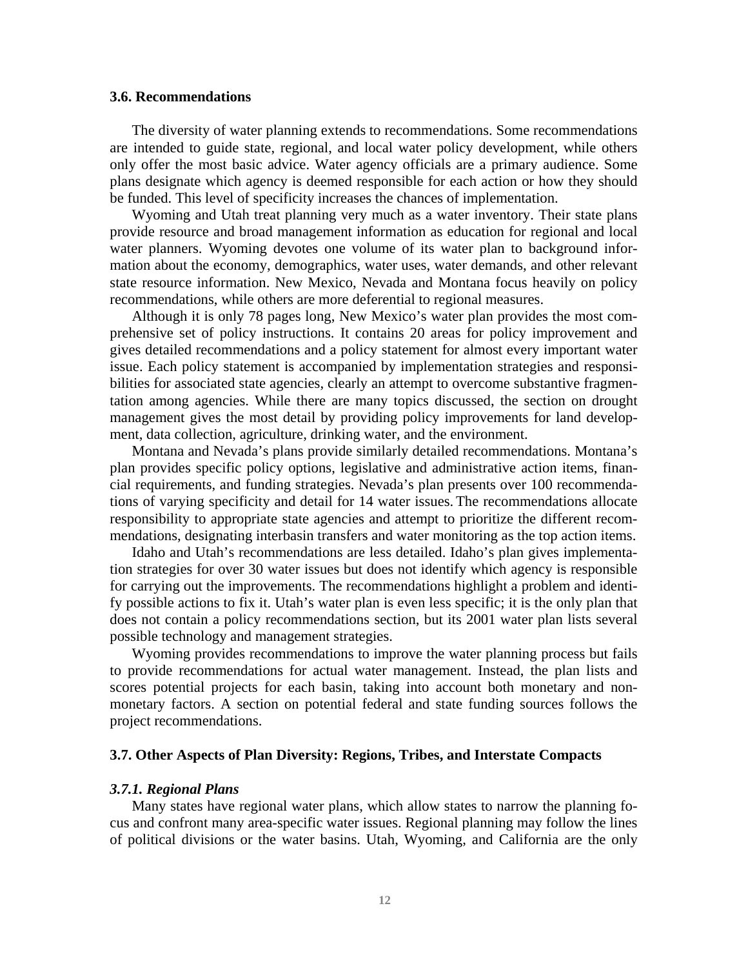#### **3.6. Recommendations**

The diversity of water planning extends to recommendations. Some recommendations are intended to guide state, regional, and local water policy development, while others only offer the most basic advice. Water agency officials are a primary audience. Some plans designate which agency is deemed responsible for each action or how they should be funded. This level of specificity increases the chances of implementation.

Wyoming and Utah treat planning very much as a water inventory. Their state plans provide resource and broad management information as education for regional and local water planners. Wyoming devotes one volume of its water plan to background information about the economy, demographics, water uses, water demands, and other relevant state resource information. New Mexico, Nevada and Montana focus heavily on policy recommendations, while others are more deferential to regional measures.

Although it is only 78 pages long, New Mexico's water plan provides the most comprehensive set of policy instructions. It contains 20 areas for policy improvement and gives detailed recommendations and a policy statement for almost every important water issue. Each policy statement is accompanied by implementation strategies and responsibilities for associated state agencies, clearly an attempt to overcome substantive fragmentation among agencies. While there are many topics discussed, the section on drought management gives the most detail by providing policy improvements for land development, data collection, agriculture, drinking water, and the environment.

Montana and Nevada's plans provide similarly detailed recommendations. Montana's plan provides specific policy options, legislative and administrative action items, financial requirements, and funding strategies. Nevada's plan presents over 100 recommendations of varying specificity and detail for 14 water issues. The recommendations allocate responsibility to appropriate state agencies and attempt to prioritize the different recommendations, designating interbasin transfers and water monitoring as the top action items.

Idaho and Utah's recommendations are less detailed. Idaho's plan gives implementation strategies for over 30 water issues but does not identify which agency is responsible for carrying out the improvements. The recommendations highlight a problem and identify possible actions to fix it. Utah's water plan is even less specific; it is the only plan that does not contain a policy recommendations section, but its 2001 water plan lists several possible technology and management strategies.

Wyoming provides recommendations to improve the water planning process but fails to provide recommendations for actual water management. Instead, the plan lists and scores potential projects for each basin, taking into account both monetary and nonmonetary factors. A section on potential federal and state funding sources follows the project recommendations.

#### **3.7. Other Aspects of Plan Diversity: Regions, Tribes, and Interstate Compacts**

#### *3.7.1. Regional Plans*

Many states have regional water plans, which allow states to narrow the planning focus and confront many area-specific water issues. Regional planning may follow the lines of political divisions or the water basins. Utah, Wyoming, and California are the only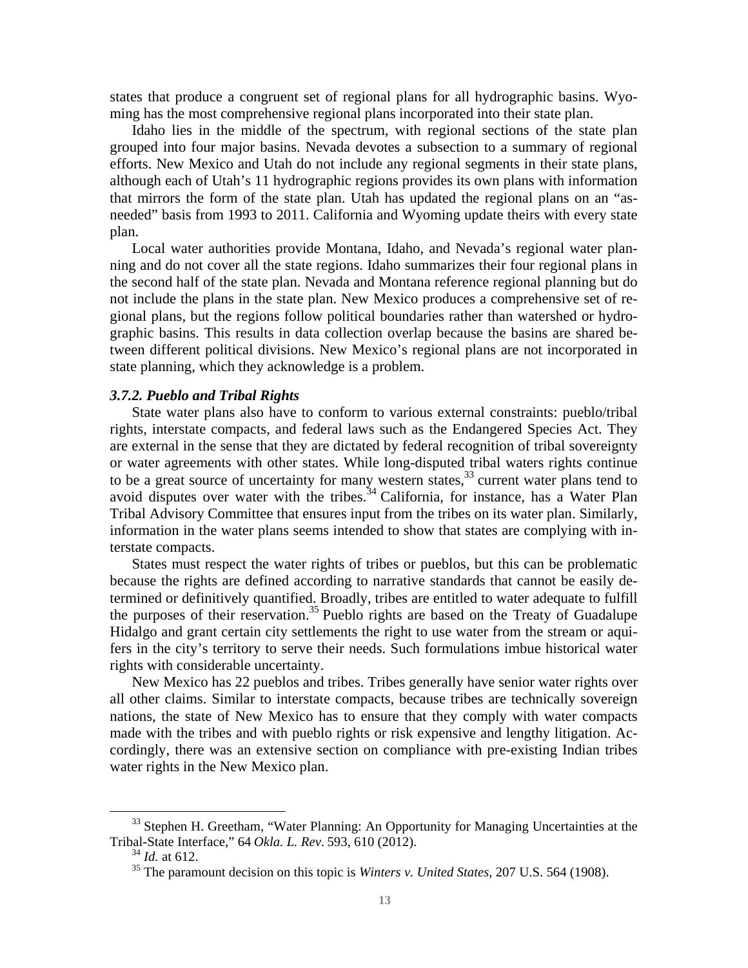states that produce a congruent set of regional plans for all hydrographic basins. Wyoming has the most comprehensive regional plans incorporated into their state plan.

Idaho lies in the middle of the spectrum, with regional sections of the state plan grouped into four major basins. Nevada devotes a subsection to a summary of regional efforts. New Mexico and Utah do not include any regional segments in their state plans, although each of Utah's 11 hydrographic regions provides its own plans with information that mirrors the form of the state plan. Utah has updated the regional plans on an "asneeded" basis from 1993 to 2011. California and Wyoming update theirs with every state plan.

Local water authorities provide Montana, Idaho, and Nevada's regional water planning and do not cover all the state regions. Idaho summarizes their four regional plans in the second half of the state plan. Nevada and Montana reference regional planning but do not include the plans in the state plan. New Mexico produces a comprehensive set of regional plans, but the regions follow political boundaries rather than watershed or hydrographic basins. This results in data collection overlap because the basins are shared between different political divisions. New Mexico's regional plans are not incorporated in state planning, which they acknowledge is a problem.

#### *3.7.2. Pueblo and Tribal Rights*

State water plans also have to conform to various external constraints: pueblo/tribal rights, interstate compacts, and federal laws such as the Endangered Species Act. They are external in the sense that they are dictated by federal recognition of tribal sovereignty or water agreements with other states. While long-disputed tribal waters rights continue to be a great source of uncertainty for many western states,  $33$  current water plans tend to avoid disputes over water with the tribes.<sup>34</sup> California, for instance, has a Water Plan Tribal Advisory Committee that ensures input from the tribes on its water plan. Similarly, information in the water plans seems intended to show that states are complying with interstate compacts.

States must respect the water rights of tribes or pueblos, but this can be problematic because the rights are defined according to narrative standards that cannot be easily determined or definitively quantified. Broadly, tribes are entitled to water adequate to fulfill the purposes of their reservation.<sup>35</sup> Pueblo rights are based on the Treaty of Guadalupe Hidalgo and grant certain city settlements the right to use water from the stream or aquifers in the city's territory to serve their needs. Such formulations imbue historical water rights with considerable uncertainty.

New Mexico has 22 pueblos and tribes. Tribes generally have senior water rights over all other claims. Similar to interstate compacts, because tribes are technically sovereign nations, the state of New Mexico has to ensure that they comply with water compacts made with the tribes and with pueblo rights or risk expensive and lengthy litigation. Accordingly, there was an extensive section on compliance with pre-existing Indian tribes water rights in the New Mexico plan.

<sup>&</sup>lt;sup>33</sup> Stephen H. Greetham, "Water Planning: An Opportunity for Managing Uncertainties at the Tribal-State Interface," 64 *Okla. L. Rev*. 593, 610 (2012).

 $34$  *Id.* at 612.

<sup>35</sup> The paramount decision on this topic is *Winters v. United States*, 207 U.S. 564 (1908).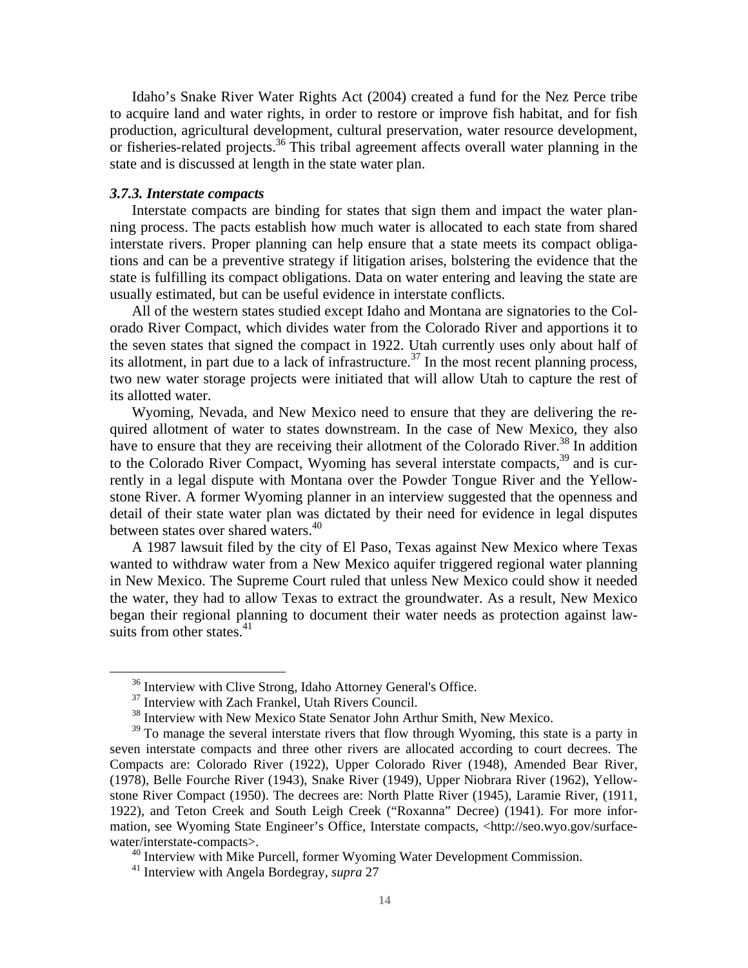Idaho's Snake River Water Rights Act (2004) created a fund for the Nez Perce tribe to acquire land and water rights, in order to restore or improve fish habitat, and for fish production, agricultural development, cultural preservation, water resource development, or fisheries-related projects.<sup>36</sup> This tribal agreement affects overall water planning in the state and is discussed at length in the state water plan.

#### *3.7.3. Interstate compacts*

Interstate compacts are binding for states that sign them and impact the water planning process. The pacts establish how much water is allocated to each state from shared interstate rivers. Proper planning can help ensure that a state meets its compact obligations and can be a preventive strategy if litigation arises, bolstering the evidence that the state is fulfilling its compact obligations. Data on water entering and leaving the state are usually estimated, but can be useful evidence in interstate conflicts.

All of the western states studied except Idaho and Montana are signatories to the Colorado River Compact, which divides water from the Colorado River and apportions it to the seven states that signed the compact in 1922. Utah currently uses only about half of its allotment, in part due to a lack of infrastructure.<sup>37</sup> In the most recent planning process, two new water storage projects were initiated that will allow Utah to capture the rest of its allotted water.

Wyoming, Nevada, and New Mexico need to ensure that they are delivering the required allotment of water to states downstream. In the case of New Mexico, they also have to ensure that they are receiving their allotment of the Colorado River.<sup>38</sup> In addition to the Colorado River Compact, Wyoming has several interstate compacts,<sup>39</sup> and is currently in a legal dispute with Montana over the Powder Tongue River and the Yellowstone River. A former Wyoming planner in an interview suggested that the openness and detail of their state water plan was dictated by their need for evidence in legal disputes between states over shared waters.<sup>40</sup>

A 1987 lawsuit filed by the city of El Paso, Texas against New Mexico where Texas wanted to withdraw water from a New Mexico aquifer triggered regional water planning in New Mexico. The Supreme Court ruled that unless New Mexico could show it needed the water, they had to allow Texas to extract the groundwater. As a result, New Mexico began their regional planning to document their water needs as protection against lawsuits from other states. $41$ 

 <sup>36</sup> Interview with Clive Strong, Idaho Attorney General's Office.

<sup>37</sup> Interview with Zach Frankel, Utah Rivers Council.

<sup>&</sup>lt;sup>38</sup> Interview with New Mexico State Senator John Arthur Smith, New Mexico.

<sup>&</sup>lt;sup>39</sup> To manage the several interstate rivers that flow through Wyoming, this state is a party in seven interstate compacts and three other rivers are allocated according to court decrees. The Compacts are: Colorado River (1922), Upper Colorado River (1948), Amended Bear River, (1978), Belle Fourche River (1943), Snake River (1949), Upper Niobrara River (1962), Yellowstone River Compact (1950). The decrees are: North Platte River (1945), Laramie River, (1911, 1922), and Teton Creek and South Leigh Creek ("Roxanna" Decree) (1941). For more information, see Wyoming State Engineer's Office, Interstate compacts, <http://seo.wyo.gov/surfacewater/interstate-compacts>.

<sup>&</sup>lt;sup>40</sup> Interview with Mike Purcell, former Wyoming Water Development Commission.

<sup>41</sup> Interview with Angela Bordegray, *supra* 27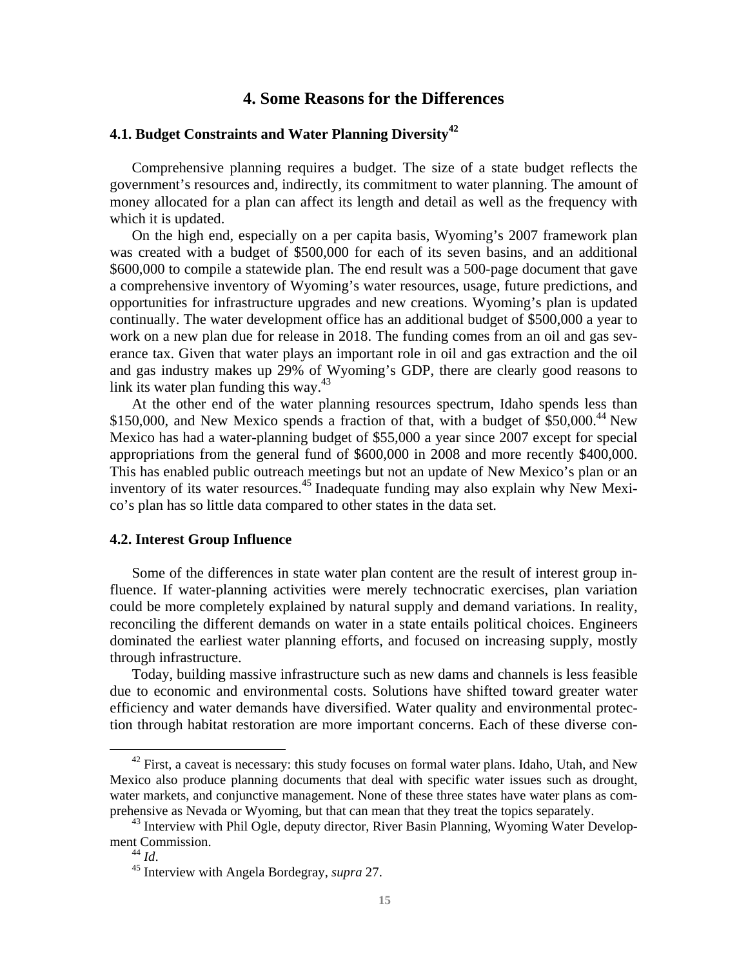## **4. Some Reasons for the Differences**

## **4.1. Budget Constraints and Water Planning Diversity**<sup>42</sup>

Comprehensive planning requires a budget. The size of a state budget reflects the government's resources and, indirectly, its commitment to water planning. The amount of money allocated for a plan can affect its length and detail as well as the frequency with which it is updated.

On the high end, especially on a per capita basis, Wyoming's 2007 framework plan was created with a budget of \$500,000 for each of its seven basins, and an additional \$600,000 to compile a statewide plan. The end result was a 500-page document that gave a comprehensive inventory of Wyoming's water resources, usage, future predictions, and opportunities for infrastructure upgrades and new creations. Wyoming's plan is updated continually. The water development office has an additional budget of \$500,000 a year to work on a new plan due for release in 2018. The funding comes from an oil and gas severance tax. Given that water plays an important role in oil and gas extraction and the oil and gas industry makes up 29% of Wyoming's GDP, there are clearly good reasons to link its water plan funding this way. $43$ 

At the other end of the water planning resources spectrum, Idaho spends less than  $$150,000$ , and New Mexico spends a fraction of that, with a budget of  $$50,000$ .<sup>44</sup> New Mexico has had a water-planning budget of \$55,000 a year since 2007 except for special appropriations from the general fund of \$600,000 in 2008 and more recently \$400,000. This has enabled public outreach meetings but not an update of New Mexico's plan or an inventory of its water resources.<sup>45</sup> Inadequate funding may also explain why New Mexico's plan has so little data compared to other states in the data set.

#### **4.2. Interest Group Influence**

Some of the differences in state water plan content are the result of interest group influence. If water-planning activities were merely technocratic exercises, plan variation could be more completely explained by natural supply and demand variations. In reality, reconciling the different demands on water in a state entails political choices. Engineers dominated the earliest water planning efforts, and focused on increasing supply, mostly through infrastructure.

Today, building massive infrastructure such as new dams and channels is less feasible due to economic and environmental costs. Solutions have shifted toward greater water efficiency and water demands have diversified. Water quality and environmental protection through habitat restoration are more important concerns. Each of these diverse con-

 $42$  First, a caveat is necessary: this study focuses on formal water plans. Idaho, Utah, and New Mexico also produce planning documents that deal with specific water issues such as drought, water markets, and conjunctive management. None of these three states have water plans as comprehensive as Nevada or Wyoming, but that can mean that they treat the topics separately.

 $43$  Interview with Phil Ogle, deputy director, River Basin Planning, Wyoming Water Development Commission.<br> $^{44}$  *Id.* 

<sup>44</sup> *Id*. 45 Interview with Angela Bordegray, *supra* 27.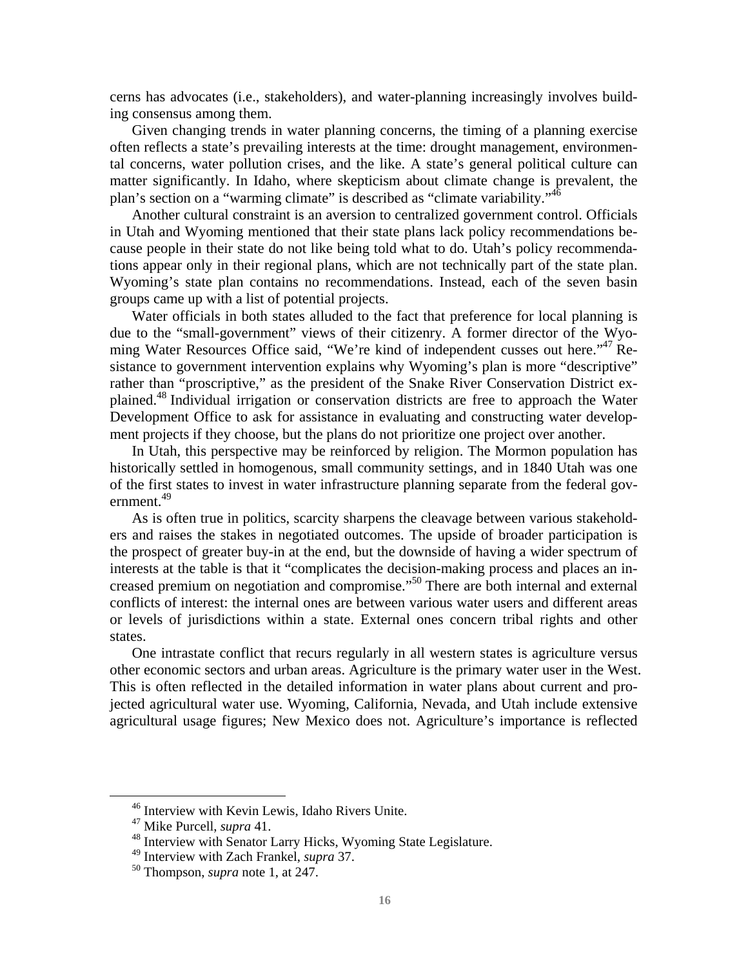cerns has advocates (i.e., stakeholders), and water-planning increasingly involves building consensus among them.

Given changing trends in water planning concerns, the timing of a planning exercise often reflects a state's prevailing interests at the time: drought management, environmental concerns, water pollution crises, and the like. A state's general political culture can matter significantly. In Idaho, where skepticism about climate change is prevalent, the plan's section on a "warming climate" is described as "climate variability."46

Another cultural constraint is an aversion to centralized government control. Officials in Utah and Wyoming mentioned that their state plans lack policy recommendations because people in their state do not like being told what to do. Utah's policy recommendations appear only in their regional plans, which are not technically part of the state plan. Wyoming's state plan contains no recommendations. Instead, each of the seven basin groups came up with a list of potential projects.

Water officials in both states alluded to the fact that preference for local planning is due to the "small-government" views of their citizenry. A former director of the Wyoming Water Resources Office said, "We're kind of independent cusses out here."47 Resistance to government intervention explains why Wyoming's plan is more "descriptive" rather than "proscriptive," as the president of the Snake River Conservation District explained.<sup>48</sup> Individual irrigation or conservation districts are free to approach the Water Development Office to ask for assistance in evaluating and constructing water development projects if they choose, but the plans do not prioritize one project over another.

In Utah, this perspective may be reinforced by religion. The Mormon population has historically settled in homogenous, small community settings, and in 1840 Utah was one of the first states to invest in water infrastructure planning separate from the federal government.49

As is often true in politics, scarcity sharpens the cleavage between various stakeholders and raises the stakes in negotiated outcomes. The upside of broader participation is the prospect of greater buy-in at the end, but the downside of having a wider spectrum of interests at the table is that it "complicates the decision-making process and places an increased premium on negotiation and compromise."<sup>50</sup> There are both internal and external conflicts of interest: the internal ones are between various water users and different areas or levels of jurisdictions within a state. External ones concern tribal rights and other states.

One intrastate conflict that recurs regularly in all western states is agriculture versus other economic sectors and urban areas. Agriculture is the primary water user in the West. This is often reflected in the detailed information in water plans about current and projected agricultural water use. Wyoming, California, Nevada, and Utah include extensive agricultural usage figures; New Mexico does not. Agriculture's importance is reflected

 <sup>46</sup> Interview with Kevin Lewis, Idaho Rivers Unite.

<sup>47</sup> Mike Purcell, *supra* 41.

<sup>48</sup> Interview with Senator Larry Hicks, Wyoming State Legislature.

<sup>49</sup> Interview with Zach Frankel, *supra* 37.

<sup>50</sup> Thompson, *supra* note 1, at 247.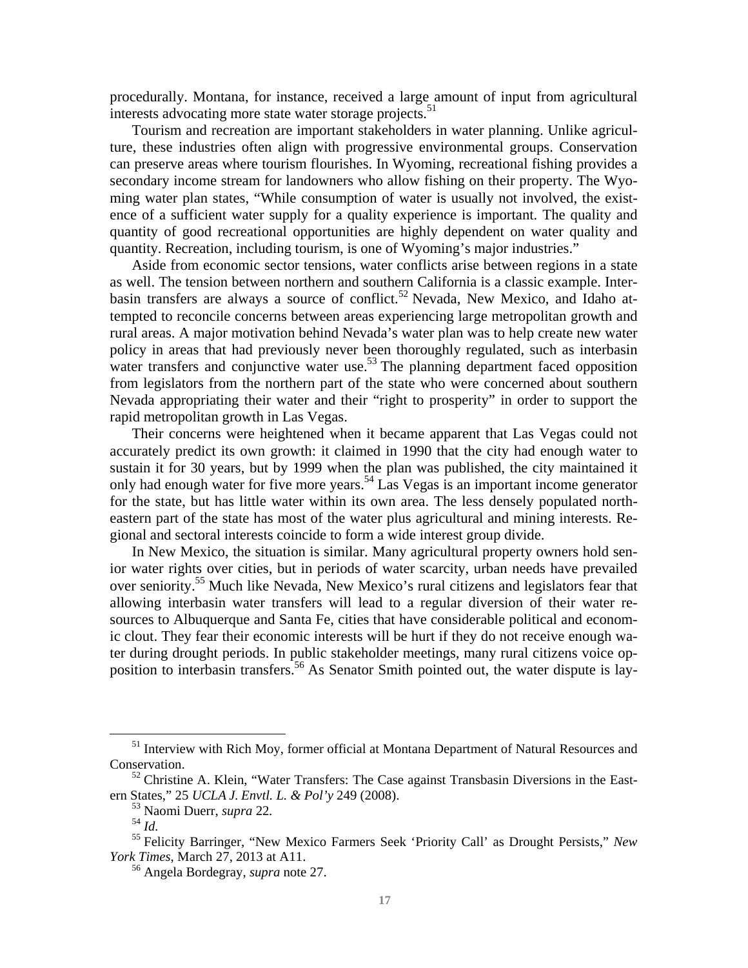procedurally. Montana, for instance, received a large amount of input from agricultural interests advocating more state water storage projects.<sup>51</sup>

Tourism and recreation are important stakeholders in water planning. Unlike agriculture, these industries often align with progressive environmental groups. Conservation can preserve areas where tourism flourishes. In Wyoming, recreational fishing provides a secondary income stream for landowners who allow fishing on their property. The Wyoming water plan states, "While consumption of water is usually not involved, the existence of a sufficient water supply for a quality experience is important. The quality and quantity of good recreational opportunities are highly dependent on water quality and quantity. Recreation, including tourism, is one of Wyoming's major industries."

Aside from economic sector tensions, water conflicts arise between regions in a state as well. The tension between northern and southern California is a classic example. Interbasin transfers are always a source of conflict.<sup>52</sup> Nevada, New Mexico, and Idaho attempted to reconcile concerns between areas experiencing large metropolitan growth and rural areas. A major motivation behind Nevada's water plan was to help create new water policy in areas that had previously never been thoroughly regulated, such as interbasin water transfers and conjunctive water use.<sup>53</sup> The planning department faced opposition from legislators from the northern part of the state who were concerned about southern Nevada appropriating their water and their "right to prosperity" in order to support the rapid metropolitan growth in Las Vegas.

Their concerns were heightened when it became apparent that Las Vegas could not accurately predict its own growth: it claimed in 1990 that the city had enough water to sustain it for 30 years, but by 1999 when the plan was published, the city maintained it only had enough water for five more years.54 Las Vegas is an important income generator for the state, but has little water within its own area. The less densely populated northeastern part of the state has most of the water plus agricultural and mining interests. Regional and sectoral interests coincide to form a wide interest group divide.

In New Mexico, the situation is similar. Many agricultural property owners hold senior water rights over cities, but in periods of water scarcity, urban needs have prevailed over seniority.55 Much like Nevada, New Mexico's rural citizens and legislators fear that allowing interbasin water transfers will lead to a regular diversion of their water resources to Albuquerque and Santa Fe, cities that have considerable political and economic clout. They fear their economic interests will be hurt if they do not receive enough water during drought periods. In public stakeholder meetings, many rural citizens voice opposition to interbasin transfers.<sup>56</sup> As Senator Smith pointed out, the water dispute is lay-

<sup>&</sup>lt;sup>51</sup> Interview with Rich Moy, former official at Montana Department of Natural Resources and Conservation.

 $52$  Christine A. Klein, "Water Transfers: The Case against Transbasin Diversions in the Eastern States," 25 *UCLA J. Envtl. L. & Pol'y* 249 (2008).

<sup>53</sup> Naomi Duerr, *supra* 22*.* <sup>54</sup> *Id.*

<sup>55</sup> Felicity Barringer, "New Mexico Farmers Seek 'Priority Call' as Drought Persists," *New York Times*, March 27, 2013 at A11.

<sup>56</sup> Angela Bordegray, *supra* note 27.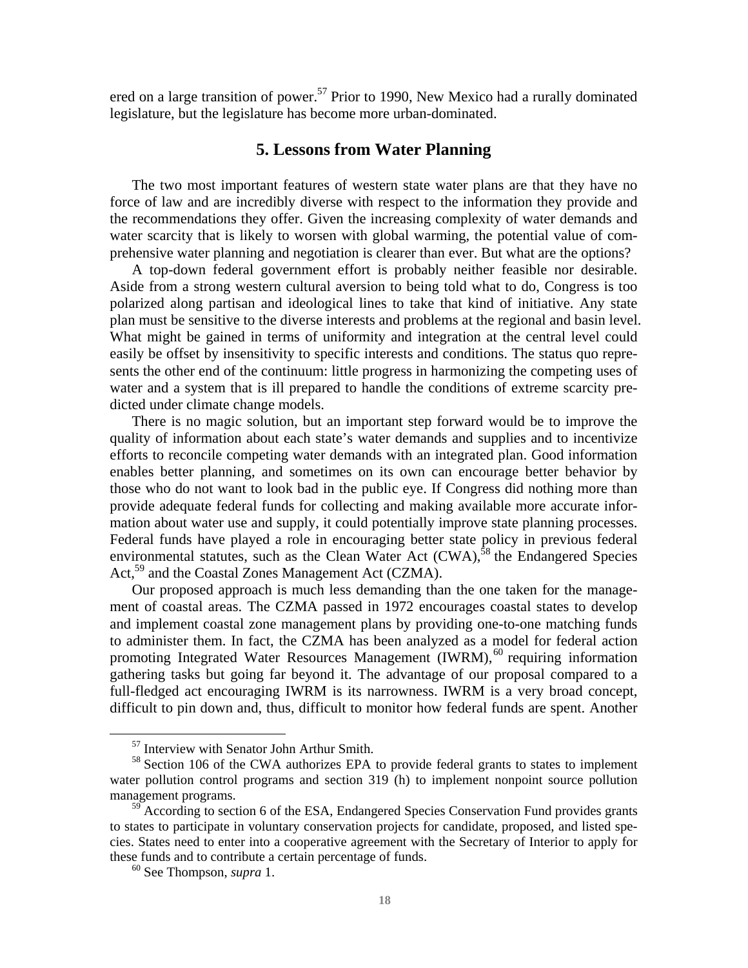ered on a large transition of power.<sup>57</sup> Prior to 1990, New Mexico had a rurally dominated legislature, but the legislature has become more urban-dominated.

#### **5. Lessons from Water Planning**

The two most important features of western state water plans are that they have no force of law and are incredibly diverse with respect to the information they provide and the recommendations they offer. Given the increasing complexity of water demands and water scarcity that is likely to worsen with global warming, the potential value of comprehensive water planning and negotiation is clearer than ever. But what are the options?

A top-down federal government effort is probably neither feasible nor desirable. Aside from a strong western cultural aversion to being told what to do, Congress is too polarized along partisan and ideological lines to take that kind of initiative. Any state plan must be sensitive to the diverse interests and problems at the regional and basin level. What might be gained in terms of uniformity and integration at the central level could easily be offset by insensitivity to specific interests and conditions. The status quo represents the other end of the continuum: little progress in harmonizing the competing uses of water and a system that is ill prepared to handle the conditions of extreme scarcity predicted under climate change models.

There is no magic solution, but an important step forward would be to improve the quality of information about each state's water demands and supplies and to incentivize efforts to reconcile competing water demands with an integrated plan. Good information enables better planning, and sometimes on its own can encourage better behavior by those who do not want to look bad in the public eye. If Congress did nothing more than provide adequate federal funds for collecting and making available more accurate information about water use and supply, it could potentially improve state planning processes. Federal funds have played a role in encouraging better state policy in previous federal environmental statutes, such as the Clean Water Act  $(CWA)$ ,<sup>58</sup> the Endangered Species Act,<sup>59</sup> and the Coastal Zones Management Act (CZMA).

Our proposed approach is much less demanding than the one taken for the management of coastal areas. The CZMA passed in 1972 encourages coastal states to develop and implement coastal zone management plans by providing one-to-one matching funds to administer them. In fact, the CZMA has been analyzed as a model for federal action promoting Integrated Water Resources Management (IWRM),<sup>60</sup> requiring information gathering tasks but going far beyond it. The advantage of our proposal compared to a full-fledged act encouraging IWRM is its narrowness. IWRM is a very broad concept, difficult to pin down and, thus, difficult to monitor how federal funds are spent. Another

 <sup>57</sup> Interview with Senator John Arthur Smith.

<sup>&</sup>lt;sup>58</sup> Section 106 of the CWA authorizes EPA to provide federal grants to states to implement water pollution control programs and section 319 (h) to implement nonpoint source pollution management programs.

 $59$  According to section 6 of the ESA, Endangered Species Conservation Fund provides grants to states to participate in voluntary conservation projects for candidate, proposed, and listed species. States need to enter into a cooperative agreement with the Secretary of Interior to apply for these funds and to contribute a certain percentage of funds.

<sup>60</sup> See Thompson, *supra* 1.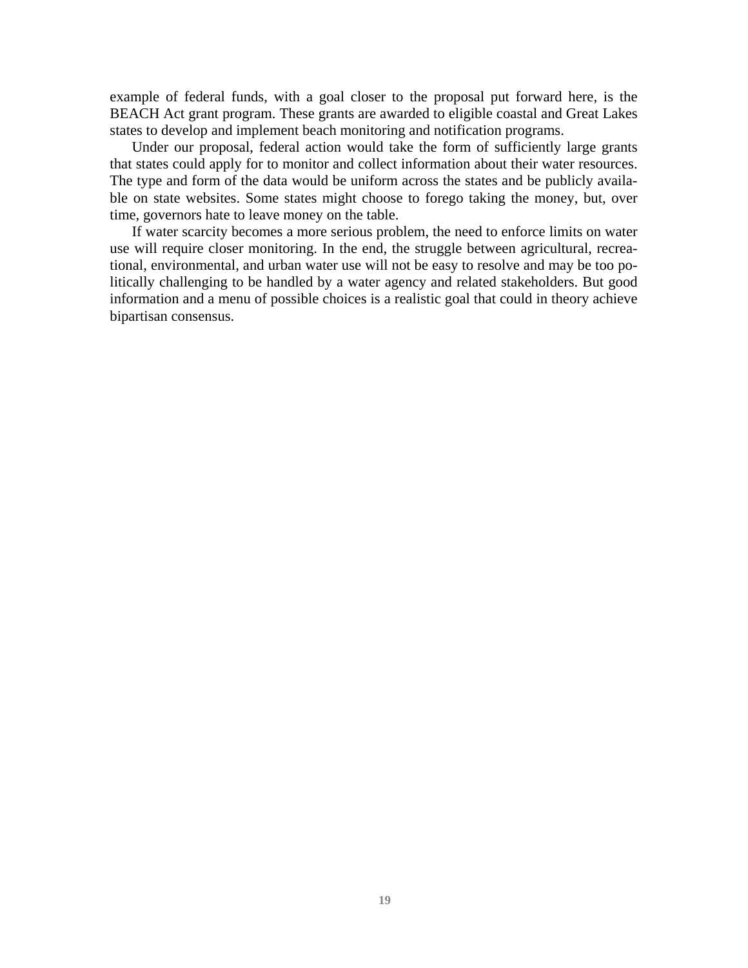example of federal funds, with a goal closer to the proposal put forward here, is the BEACH Act grant program. These grants are awarded to eligible coastal and Great Lakes states to develop and implement beach monitoring and notification programs.

Under our proposal, federal action would take the form of sufficiently large grants that states could apply for to monitor and collect information about their water resources. The type and form of the data would be uniform across the states and be publicly available on state websites. Some states might choose to forego taking the money, but, over time, governors hate to leave money on the table.

If water scarcity becomes a more serious problem, the need to enforce limits on water use will require closer monitoring. In the end, the struggle between agricultural, recreational, environmental, and urban water use will not be easy to resolve and may be too politically challenging to be handled by a water agency and related stakeholders. But good information and a menu of possible choices is a realistic goal that could in theory achieve bipartisan consensus.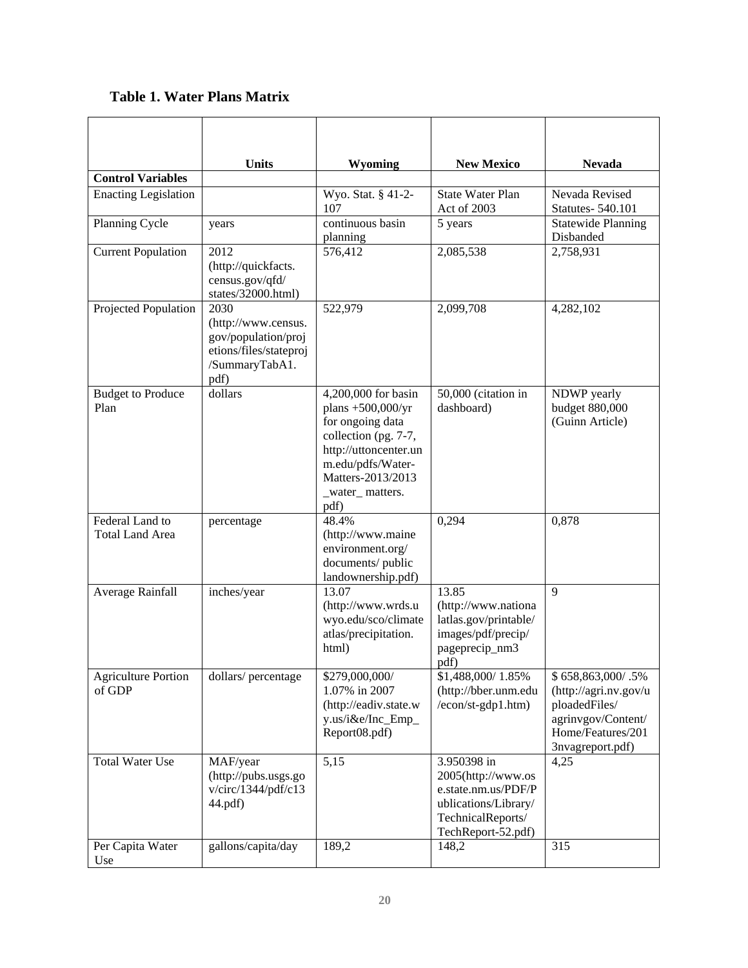## **Table 1. Water Plans Matrix**

| <b>Control Variables</b>                  | <b>Units</b>                                                                                           | Wyoming                                                                                                                                                                                     | <b>New Mexico</b>                                                                                                           | <b>Nevada</b>                                                                                                              |
|-------------------------------------------|--------------------------------------------------------------------------------------------------------|---------------------------------------------------------------------------------------------------------------------------------------------------------------------------------------------|-----------------------------------------------------------------------------------------------------------------------------|----------------------------------------------------------------------------------------------------------------------------|
| <b>Enacting Legislation</b>               |                                                                                                        | Wyo. Stat. § 41-2-<br>107                                                                                                                                                                   | <b>State Water Plan</b><br>Act of 2003                                                                                      | Nevada Revised<br>Statutes-540.101                                                                                         |
| Planning Cycle                            | years                                                                                                  | continuous basin<br>planning                                                                                                                                                                | 5 years                                                                                                                     | Statewide Planning<br>Disbanded                                                                                            |
| <b>Current Population</b>                 | 2012<br>(http://quickfacts.<br>census.gov/qfd/<br>states/32000.html)                                   | 576,412                                                                                                                                                                                     | 2,085,538                                                                                                                   | 2,758,931                                                                                                                  |
| Projected Population                      | 2030<br>(http://www.census.<br>gov/population/proj<br>etions/files/stateproj<br>/SummaryTabA1.<br>pdf) | 522,979                                                                                                                                                                                     | 2,099,708                                                                                                                   | 4,282,102                                                                                                                  |
| <b>Budget to Produce</b><br>Plan          | dollars                                                                                                | 4,200,000 for basin<br>plans $+500,000/\text{yr}$<br>for ongoing data<br>collection (pg. 7-7,<br>http://uttoncenter.un<br>m.edu/pdfs/Water-<br>Matters-2013/2013<br>_water_matters.<br>pdf) | 50,000 (citation in<br>dashboard)                                                                                           | NDWP yearly<br>budget 880,000<br>(Guinn Article)                                                                           |
| Federal Land to<br><b>Total Land Area</b> | percentage                                                                                             | 48.4%<br>(http://www.maine<br>environment.org/<br>documents/public<br>landownership.pdf)                                                                                                    | 0,294                                                                                                                       | 0,878                                                                                                                      |
| Average Rainfall                          | inches/year                                                                                            | 13.07<br>(http://www.wrds.u<br>wyo.edu/sco/climate<br>atlas/precipitation.<br>html)                                                                                                         | 13.85<br>(http://www.nationa<br>latlas.gov/printable/<br>images/pdf/precip/<br>pageprecip_nm3<br>$\text{ndf}$               | 9                                                                                                                          |
| <b>Agriculture Portion</b><br>of GDP      | dollars/percentage                                                                                     | \$279,000,000/<br>1.07% in 2007<br>(http://eadiv.state.w<br>y.us/i&e/Inc_Emp_<br>Report08.pdf)                                                                                              | \$1,488,000/1.85%<br>(http://bber.unm.edu<br>/econ/st-gdp1.htm)                                                             | \$658,863,000/.5%<br>(http://agri.nv.gov/u<br>ploadedFiles/<br>agrinvgov/Content/<br>Home/Features/201<br>3nvagreport.pdf) |
| Total Water Use                           | MAF/year<br>(http://pubs.usgs.go<br>v/circ/1344/pdf/c13<br>44.pdf)                                     | 5,15                                                                                                                                                                                        | 3.950398 in<br>2005(http://www.os<br>e.state.nm.us/PDF/P<br>ublications/Library/<br>TechnicalReports/<br>TechReport-52.pdf) | 4,25                                                                                                                       |
| Per Capita Water<br>Use                   | gallons/capita/day                                                                                     | 189,2                                                                                                                                                                                       | 148,2                                                                                                                       | 315                                                                                                                        |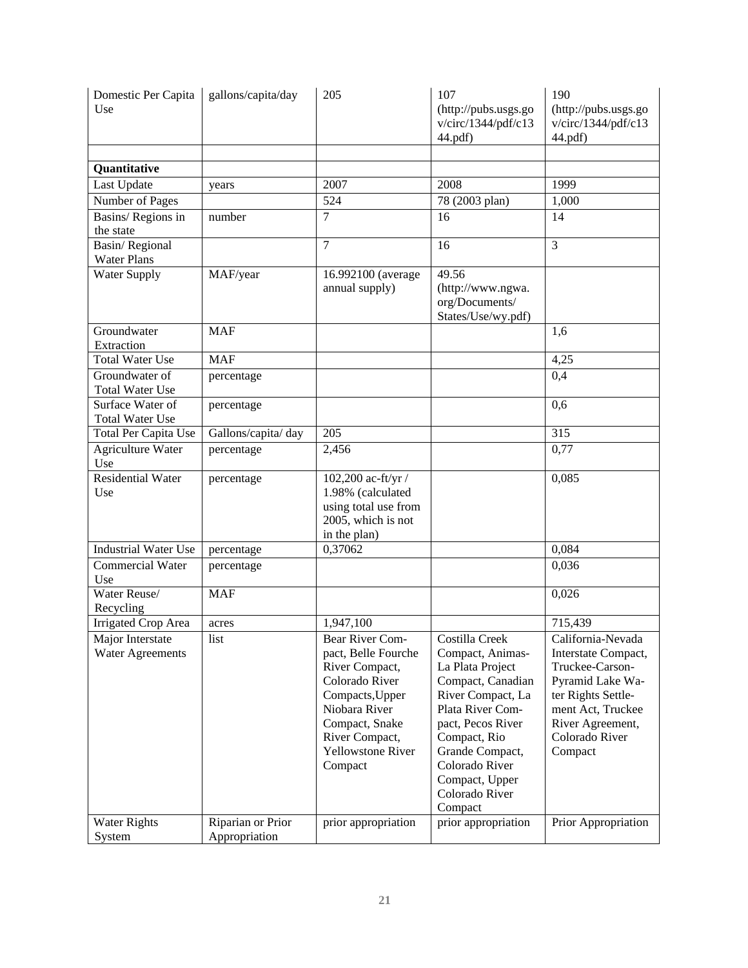| Domestic Per Capita<br>Use                  | gallons/capita/day        | 205                                                                                                                                                                                                       | 107<br>(http://pubs.usgs.go<br>v/circ/1344/pdf/c13<br>44.pdf                                                                                                                                                                                                         | 190<br>(http://pubs.usgs.go<br>v/circ/1344/pdf/c13<br>44.pdf)                                                                                                                                      |
|---------------------------------------------|---------------------------|-----------------------------------------------------------------------------------------------------------------------------------------------------------------------------------------------------------|----------------------------------------------------------------------------------------------------------------------------------------------------------------------------------------------------------------------------------------------------------------------|----------------------------------------------------------------------------------------------------------------------------------------------------------------------------------------------------|
|                                             |                           |                                                                                                                                                                                                           |                                                                                                                                                                                                                                                                      |                                                                                                                                                                                                    |
| Quantitative                                |                           |                                                                                                                                                                                                           |                                                                                                                                                                                                                                                                      |                                                                                                                                                                                                    |
| Last Update                                 | years                     | 2007                                                                                                                                                                                                      | 2008                                                                                                                                                                                                                                                                 | 1999                                                                                                                                                                                               |
| Number of Pages                             |                           | 524                                                                                                                                                                                                       | 78 (2003 plan)                                                                                                                                                                                                                                                       | 1,000                                                                                                                                                                                              |
| Basins/Regions in<br>the state              | number                    | 7                                                                                                                                                                                                         | 16                                                                                                                                                                                                                                                                   | 14                                                                                                                                                                                                 |
| Basin/Regional<br><b>Water Plans</b>        |                           | $\overline{7}$                                                                                                                                                                                            | 16                                                                                                                                                                                                                                                                   | 3                                                                                                                                                                                                  |
| Water Supply                                | MAF/year                  | 16.992100 (average<br>annual supply)                                                                                                                                                                      | 49.56<br>(http://www.ngwa.<br>org/Documents/<br>States/Use/wy.pdf)                                                                                                                                                                                                   |                                                                                                                                                                                                    |
| Groundwater<br>Extraction                   | <b>MAF</b>                |                                                                                                                                                                                                           |                                                                                                                                                                                                                                                                      | 1,6                                                                                                                                                                                                |
| <b>Total Water Use</b>                      | <b>MAF</b>                |                                                                                                                                                                                                           |                                                                                                                                                                                                                                                                      | 4,25                                                                                                                                                                                               |
| Groundwater of<br><b>Total Water Use</b>    | percentage                |                                                                                                                                                                                                           |                                                                                                                                                                                                                                                                      | 0,4                                                                                                                                                                                                |
| Surface Water of<br><b>Total Water Use</b>  | percentage                |                                                                                                                                                                                                           |                                                                                                                                                                                                                                                                      | 0,6                                                                                                                                                                                                |
| Total Per Capita Use                        | Gallons/capita/day        | 205                                                                                                                                                                                                       |                                                                                                                                                                                                                                                                      | 315                                                                                                                                                                                                |
| Agriculture Water<br>Use                    | percentage                | 2,456                                                                                                                                                                                                     |                                                                                                                                                                                                                                                                      | 0,77                                                                                                                                                                                               |
| <b>Residential Water</b><br>Use             | percentage                | 102,200 ac-ft/yr /<br>1.98% (calculated<br>using total use from<br>2005, which is not<br>in the plan)                                                                                                     |                                                                                                                                                                                                                                                                      | 0,085                                                                                                                                                                                              |
| <b>Industrial Water Use</b>                 | percentage                | 0,37062                                                                                                                                                                                                   |                                                                                                                                                                                                                                                                      | 0,084                                                                                                                                                                                              |
| Commercial Water<br>Use                     | percentage                |                                                                                                                                                                                                           |                                                                                                                                                                                                                                                                      | 0,036                                                                                                                                                                                              |
| Water Reuse/<br>Recycling                   | <b>MAF</b>                |                                                                                                                                                                                                           |                                                                                                                                                                                                                                                                      | 0,026                                                                                                                                                                                              |
| Irrigated Crop Area                         | acres                     | 1,947,100                                                                                                                                                                                                 |                                                                                                                                                                                                                                                                      | 715,439                                                                                                                                                                                            |
| Major Interstate<br><b>Water Agreements</b> | list<br>Riparian or Prior | Bear River Com-<br>pact, Belle Fourche<br>River Compact,<br>Colorado River<br>Compacts, Upper<br>Niobara River<br>Compact, Snake<br>River Compact,<br>Yellowstone River<br>Compact<br>prior appropriation | Costilla Creek<br>Compact, Animas-<br>La Plata Project<br>Compact, Canadian<br>River Compact, La<br>Plata River Com-<br>pact, Pecos River<br>Compact, Rio<br>Grande Compact,<br>Colorado River<br>Compact, Upper<br>Colorado River<br>Compact<br>prior appropriation | California-Nevada<br>Interstate Compact,<br>Truckee-Carson-<br>Pyramid Lake Wa-<br>ter Rights Settle-<br>ment Act, Truckee<br>River Agreement,<br>Colorado River<br>Compact<br>Prior Appropriation |
| <b>Water Rights</b><br>System               | Appropriation             |                                                                                                                                                                                                           |                                                                                                                                                                                                                                                                      |                                                                                                                                                                                                    |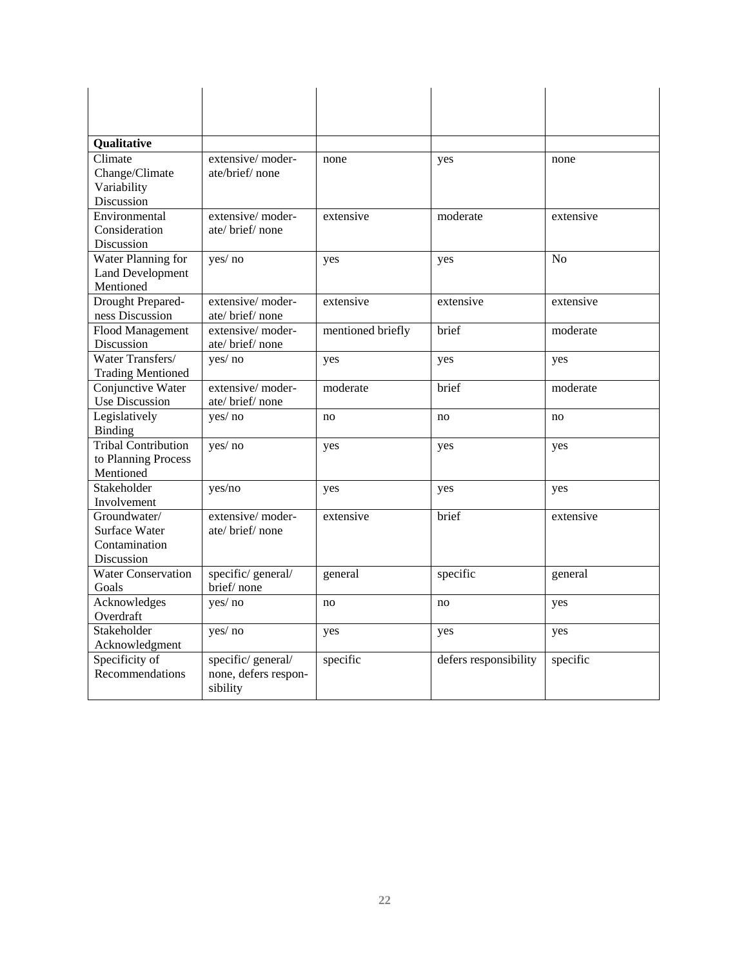| Qualitative                |                      |                   |                       |                |
|----------------------------|----------------------|-------------------|-----------------------|----------------|
| Climate                    | extensive/moder-     | none              | yes                   | none           |
| Change/Climate             | ate/brief/none       |                   |                       |                |
| Variability                |                      |                   |                       |                |
| Discussion                 |                      |                   |                       |                |
| Environmental              | extensive/moder-     | extensive         | moderate              | extensive      |
| Consideration              | ate/brief/none       |                   |                       |                |
| Discussion                 |                      |                   |                       |                |
| Water Planning for         | yes/no               | yes               | yes                   | N <sub>0</sub> |
| <b>Land Development</b>    |                      |                   |                       |                |
| Mentioned                  |                      |                   |                       |                |
| Drought Prepared-          | extensive/moder-     | extensive         | extensive             | extensive      |
| ness Discussion            | ate/brief/none       |                   |                       |                |
| Flood Management           | extensive/moder-     | mentioned briefly | brief                 | moderate       |
| Discussion                 | ate/brief/none       |                   |                       |                |
| Water Transfers/           | yes/no               | yes               | yes                   | yes            |
| <b>Trading Mentioned</b>   |                      |                   |                       |                |
| Conjunctive Water          | extensive/moder-     | moderate          | brief                 | moderate       |
| <b>Use Discussion</b>      | ate/brief/none       |                   |                       |                |
| Legislatively              | yes/no               | no                | no                    | no             |
| Binding                    |                      |                   |                       |                |
| <b>Tribal Contribution</b> | yes/no               | yes               | yes                   | yes            |
| to Planning Process        |                      |                   |                       |                |
| Mentioned                  |                      |                   |                       |                |
| Stakeholder                | yes/no               | yes               | yes                   | yes            |
| Involvement                |                      |                   |                       |                |
| Groundwater/               | extensive/moder-     | extensive         | brief                 | extensive      |
| Surface Water              | ate/brief/none       |                   |                       |                |
| Contamination              |                      |                   |                       |                |
| Discussion                 |                      |                   |                       |                |
| <b>Water Conservation</b>  | specific/ general/   | general           | specific              | general        |
| Goals                      | brief/none           |                   |                       |                |
| Acknowledges               | yes/no               | no                | no                    | yes            |
| Overdraft                  |                      |                   |                       |                |
| Stakeholder                | yes/no               | yes               | yes                   | yes            |
| Acknowledgment             |                      |                   |                       |                |
| Specificity of             | specific/ general/   | specific          | defers responsibility | specific       |
| Recommendations            | none, defers respon- |                   |                       |                |
|                            | sibility             |                   |                       |                |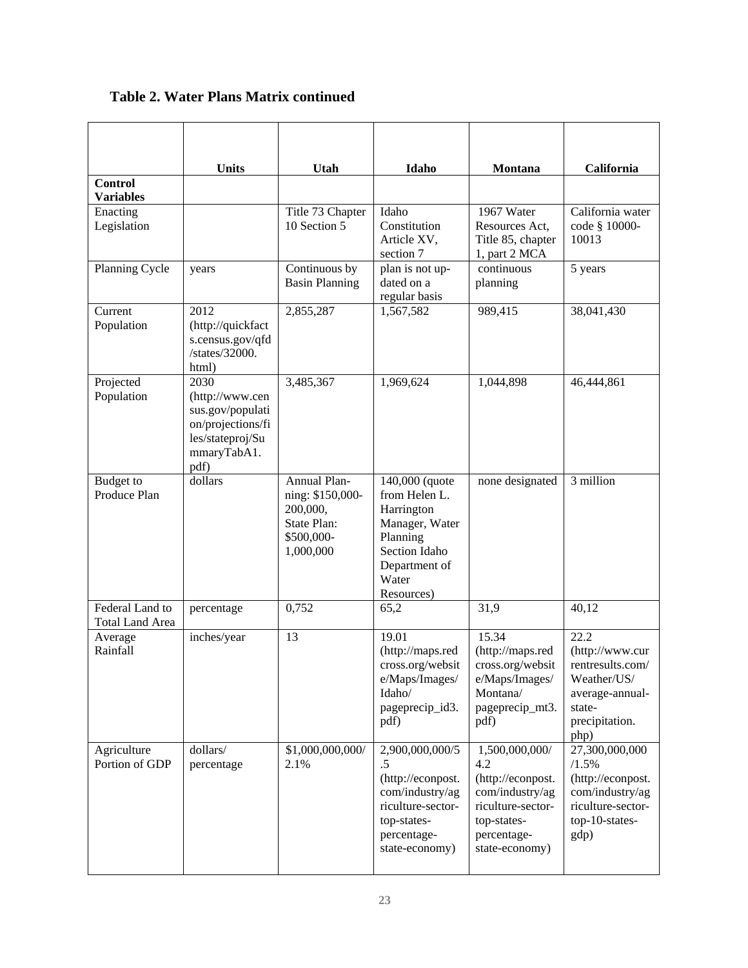|                                           | <b>Units</b>                                                                                                | Utah                                                                                   | Idaho                                                                                                                                  |                                                                                                                                    | California                                                                                                        |
|-------------------------------------------|-------------------------------------------------------------------------------------------------------------|----------------------------------------------------------------------------------------|----------------------------------------------------------------------------------------------------------------------------------------|------------------------------------------------------------------------------------------------------------------------------------|-------------------------------------------------------------------------------------------------------------------|
| <b>Control</b><br><b>Variables</b>        |                                                                                                             |                                                                                        |                                                                                                                                        | Montana                                                                                                                            |                                                                                                                   |
| Enacting<br>Legislation                   |                                                                                                             | Title 73 Chapter<br>10 Section 5                                                       | Idaho<br>Constitution<br>Article XV,<br>section 7                                                                                      | 1967 Water<br>Resources Act,<br>Title 85, chapter<br>1, part 2 MCA                                                                 | California water<br>code § 10000-<br>10013                                                                        |
| Planning Cycle                            | years                                                                                                       | Continuous by<br><b>Basin Planning</b>                                                 | plan is not up-<br>dated on a<br>regular basis                                                                                         | continuous<br>planning                                                                                                             | 5 years                                                                                                           |
| Current<br>Population                     | 2012<br>(http://quickfact<br>s.census.gov/qfd<br>/states/32000.<br>html)                                    | 2,855,287                                                                              | 1,567,582                                                                                                                              | 989,415                                                                                                                            | 38,041,430                                                                                                        |
| Projected<br>Population                   | 2030<br>(http://www.cen<br>sus.gov/populati<br>on/projections/fi<br>les/stateproj/Su<br>mmaryTabA1.<br>pdf) | 3,485,367                                                                              | 1,969,624                                                                                                                              | 1,044,898                                                                                                                          | 46,444,861                                                                                                        |
| <b>Budget</b> to<br>Produce Plan          | dollars                                                                                                     | Annual Plan-<br>ning: \$150,000-<br>200,000,<br>State Plan:<br>\$500,000-<br>1,000,000 | 140,000 (quote<br>from Helen L.<br>Harrington<br>Manager, Water<br>Planning<br>Section Idaho<br>Department of<br>Water<br>Resources)   | none designated                                                                                                                    | 3 million                                                                                                         |
| Federal Land to<br><b>Total Land Area</b> | percentage                                                                                                  | 0,752                                                                                  | 65,2                                                                                                                                   | 31,9                                                                                                                               | 40,12                                                                                                             |
| Average<br>Rainfall                       | inches/year                                                                                                 | 13                                                                                     | 19.01<br>(http://maps.red<br>cross.org/websit<br>e/Maps/Images/<br>Idaho/<br>pageprecip_id3.<br>pdf)                                   | 15.34<br>(http://maps.red<br>cross.org/websit<br>e/Maps/Images/<br>Montana/<br>pageprecip_mt3.<br>pdf)                             | 22.2<br>(http://www.cur<br>rentresults.com/<br>Weather/US/<br>average-annual-<br>state-<br>precipitation.<br>php) |
| Agriculture<br>Portion of GDP             | dollars/<br>percentage                                                                                      | \$1,000,000,000/<br>2.1%                                                               | 2,900,000,000/5<br>$.5\,$<br>(http://econpost.<br>com/industry/ag<br>riculture-sector-<br>top-states-<br>percentage-<br>state-economy) | 1,500,000,000/<br>4.2<br>(http://econpost.<br>com/industry/ag<br>riculture-sector-<br>top-states-<br>percentage-<br>state-economy) | 27,300,000,000<br>/1.5%<br>(http://econpost.<br>com/industry/ag<br>riculture-sector-<br>top-10-states-<br>gdp)    |

**Table 2. Water Plans Matrix continued**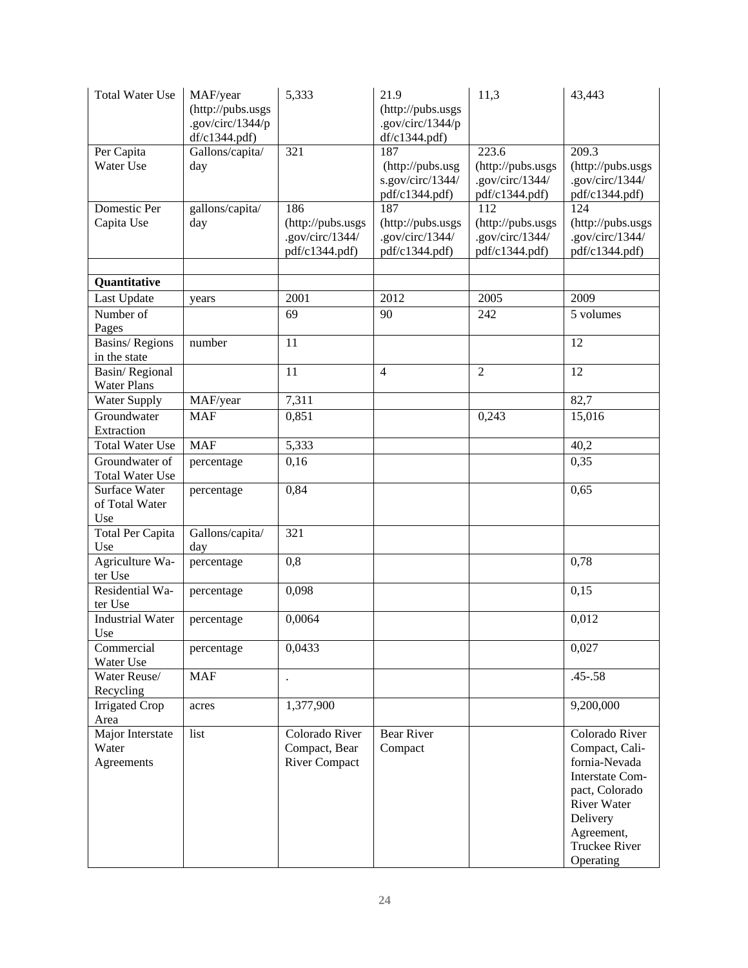| <b>Total Water Use</b>                   | MAF/year<br>(http://pubs.usgs<br>.gov/circ/1344/p<br>df/c1344.pdf) | 5,333                                                         | 21.9<br>(http://pubs.usgs<br>.gov/circ/1344/p<br>df/c1344.pdf | 11,3                                                            | 43,443                                                                                                                                                               |
|------------------------------------------|--------------------------------------------------------------------|---------------------------------------------------------------|---------------------------------------------------------------|-----------------------------------------------------------------|----------------------------------------------------------------------------------------------------------------------------------------------------------------------|
| Per Capita<br>Water Use                  | Gallons/capita/<br>day                                             | 321                                                           | 187<br>(http://pubs.usg<br>s.gov/circ/1344/<br>pdf/c1344.pdf) | 223.6<br>(http://pubs.usgs<br>.gov/circ/1344/<br>pdf/c1344.pdf) | 209.3<br>(http://pubs.usgs<br>.gov/circ/ $1344/$<br>pdf/c1344.pdf)                                                                                                   |
| Domestic Per<br>Capita Use               | gallons/capita/<br>day                                             | 186<br>(http://pubs.usgs<br>.gov/circ/1344/<br>pdf/c1344.pdf) | 187<br>(http://pubs.usgs<br>.gov/circ/1344/<br>pdf/c1344.pdf) | 112<br>(http://pubs.usgs<br>.gov/circ/1344/<br>pdf/c1344.pdf)   | 124<br>(http://pubs.usgs<br>.gov/circ/ $1344/$<br>pdf/c1344.pdf)                                                                                                     |
| Quantitative                             |                                                                    |                                                               |                                                               |                                                                 |                                                                                                                                                                      |
| Last Update                              | years                                                              | 2001                                                          | 2012                                                          | 2005                                                            | 2009                                                                                                                                                                 |
| Number of<br>Pages                       |                                                                    | 69                                                            | 90                                                            | 242                                                             | 5 volumes                                                                                                                                                            |
| Basins/Regions<br>in the state           | number                                                             | 11                                                            |                                                               |                                                                 | 12                                                                                                                                                                   |
| Basin/Regional<br><b>Water Plans</b>     |                                                                    | 11                                                            | $\overline{4}$                                                | $\overline{2}$                                                  | 12                                                                                                                                                                   |
| <b>Water Supply</b>                      | MAF/year                                                           | 7,311                                                         |                                                               |                                                                 | 82,7                                                                                                                                                                 |
| Groundwater<br>Extraction                | <b>MAF</b>                                                         | 0,851                                                         |                                                               | 0,243                                                           | 15,016                                                                                                                                                               |
| <b>Total Water Use</b>                   | <b>MAF</b>                                                         | 5,333                                                         |                                                               |                                                                 | 40,2                                                                                                                                                                 |
| Groundwater of<br><b>Total Water Use</b> | percentage                                                         | 0,16                                                          |                                                               |                                                                 | 0,35                                                                                                                                                                 |
| Surface Water<br>of Total Water<br>Use   | percentage                                                         | 0,84                                                          |                                                               |                                                                 | 0,65                                                                                                                                                                 |
| <b>Total Per Capita</b><br>Use           | Gallons/capita/<br>day                                             | 321                                                           |                                                               |                                                                 |                                                                                                                                                                      |
| Agriculture Wa-<br>ter Use               | percentage                                                         | 0,8                                                           |                                                               |                                                                 | 0,78                                                                                                                                                                 |
| Residential Wa-<br>ter Use               | percentage                                                         | 0,098                                                         |                                                               |                                                                 | 0,15                                                                                                                                                                 |
| <b>Industrial Water</b><br>Use           | percentage                                                         | 0,0064                                                        |                                                               |                                                                 | 0,012                                                                                                                                                                |
| Commercial<br>Water Use                  | percentage                                                         | 0,0433                                                        |                                                               |                                                                 | 0,027                                                                                                                                                                |
| Water Reuse/<br>Recycling                | <b>MAF</b>                                                         | $\ddot{\phantom{0}}$                                          |                                                               |                                                                 | $.45 - .58$                                                                                                                                                          |
| <b>Irrigated Crop</b><br>Area            | acres                                                              | 1,377,900                                                     |                                                               |                                                                 | 9,200,000                                                                                                                                                            |
| Major Interstate<br>Water<br>Agreements  | list                                                               | Colorado River<br>Compact, Bear<br><b>River Compact</b>       | <b>Bear River</b><br>Compact                                  |                                                                 | Colorado River<br>Compact, Cali-<br>fornia-Nevada<br>Interstate Com-<br>pact, Colorado<br><b>River Water</b><br>Delivery<br>Agreement,<br>Truckee River<br>Operating |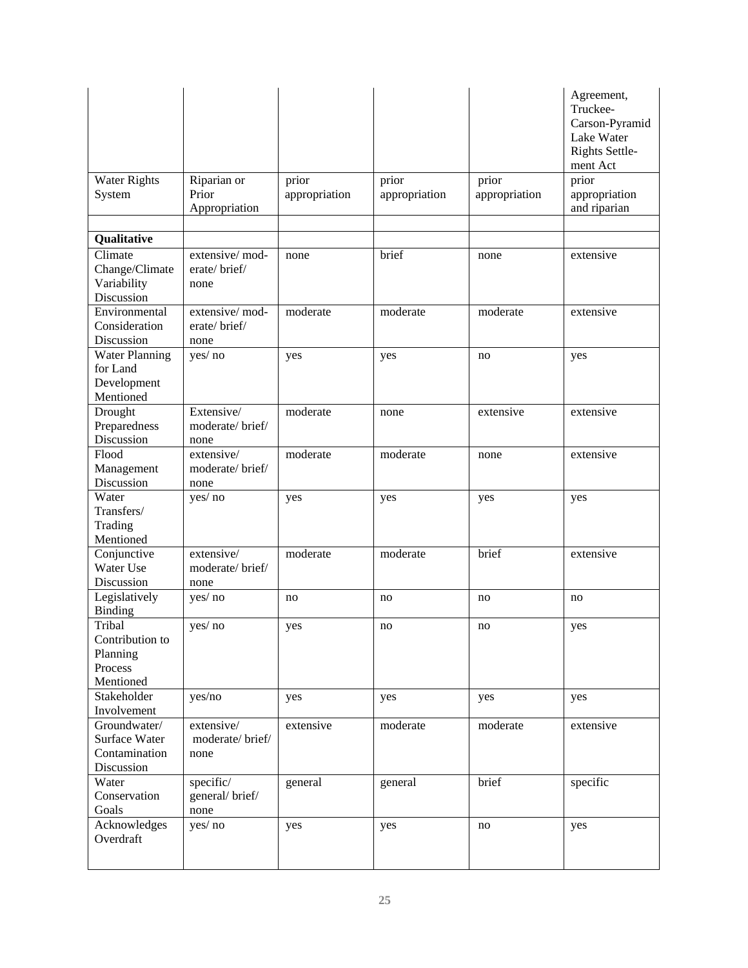|                                                        |                                        |               |               |               | Agreement,<br>Truckee-<br>Carson-Pyramid<br>Lake Water<br>Rights Settle-<br>ment Act |
|--------------------------------------------------------|----------------------------------------|---------------|---------------|---------------|--------------------------------------------------------------------------------------|
| <b>Water Rights</b>                                    | Riparian or                            | prior         | prior         | prior         | prior                                                                                |
| System                                                 | Prior                                  | appropriation | appropriation | appropriation | appropriation                                                                        |
|                                                        | Appropriation                          |               |               |               | and riparian                                                                         |
| Qualitative                                            |                                        |               |               |               |                                                                                      |
| Climate<br>Change/Climate<br>Variability<br>Discussion | extensive/mod-<br>erate/brief/<br>none | none          | brief         | none          | extensive                                                                            |
| Environmental                                          | extensive/mod-                         | moderate      | moderate      | moderate      | extensive                                                                            |
| Consideration                                          | erate/brief/                           |               |               |               |                                                                                      |
| Discussion                                             | none                                   |               |               |               |                                                                                      |
| Water Planning                                         | yes/no                                 | yes           | yes           | no            | yes                                                                                  |
| for Land                                               |                                        |               |               |               |                                                                                      |
| Development                                            |                                        |               |               |               |                                                                                      |
| Mentioned                                              |                                        |               |               |               |                                                                                      |
| Drought                                                | Extensive/                             | moderate      | none          | extensive     | extensive                                                                            |
| Preparedness                                           | moderate/brief/                        |               |               |               |                                                                                      |
| Discussion                                             | none                                   |               |               |               |                                                                                      |
| Flood                                                  | extensive/                             | moderate      | moderate      | none          | extensive                                                                            |
| Management                                             | moderate/brief/                        |               |               |               |                                                                                      |
| Discussion                                             | none                                   |               |               |               |                                                                                      |
| Water                                                  | yes/no                                 | yes           | yes           | yes           | yes                                                                                  |
| Transfers/                                             |                                        |               |               |               |                                                                                      |
| Trading                                                |                                        |               |               |               |                                                                                      |
| Mentioned                                              |                                        |               |               |               |                                                                                      |
| Conjunctive                                            | extensive/                             | moderate      | moderate      | brief         | extensive                                                                            |
| Water Use                                              | moderate/brief/                        |               |               |               |                                                                                      |
| Discussion                                             | none                                   |               |               |               |                                                                                      |
| Legislatively                                          | yes/no                                 | no            | no            | no            | no                                                                                   |
| Binding                                                |                                        |               |               |               |                                                                                      |
| Tribal                                                 | yes/no                                 | yes           | no            | no            | yes                                                                                  |
| Contribution to                                        |                                        |               |               |               |                                                                                      |
| Planning                                               |                                        |               |               |               |                                                                                      |
| Process                                                |                                        |               |               |               |                                                                                      |
| Mentioned                                              |                                        |               |               |               |                                                                                      |
| Stakeholder                                            | yes/no                                 | yes           | yes           | yes           | yes                                                                                  |
| Involvement                                            |                                        |               |               |               |                                                                                      |
| Groundwater/                                           | extensive/                             | extensive     | moderate      | moderate      | extensive                                                                            |
| Surface Water                                          | moderate/brief/                        |               |               |               |                                                                                      |
| Contamination                                          | none                                   |               |               |               |                                                                                      |
| Discussion                                             |                                        |               |               |               |                                                                                      |
| Water                                                  | specific/                              | general       | general       | brief         | specific                                                                             |
| Conservation                                           | general/brief/                         |               |               |               |                                                                                      |
| Goals                                                  | none                                   |               |               |               |                                                                                      |
| Acknowledges                                           | yes/no                                 | yes           | yes           | no            | yes                                                                                  |
| Overdraft                                              |                                        |               |               |               |                                                                                      |
|                                                        |                                        |               |               |               |                                                                                      |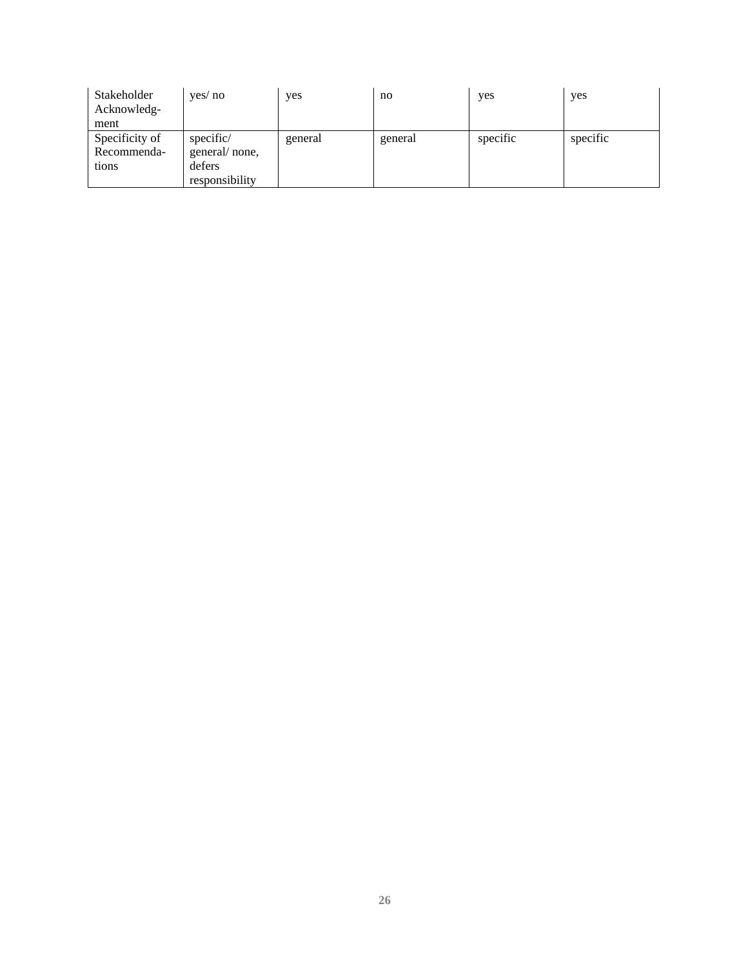| Stakeholder<br>Acknowledg-<br>ment     | yes/ no                              | yes     | no      | yes      | yes      |
|----------------------------------------|--------------------------------------|---------|---------|----------|----------|
| Specificity of<br>Recommenda-<br>tions | specific/<br>general/none,<br>defers | general | general | specific | specific |
|                                        | responsibility                       |         |         |          |          |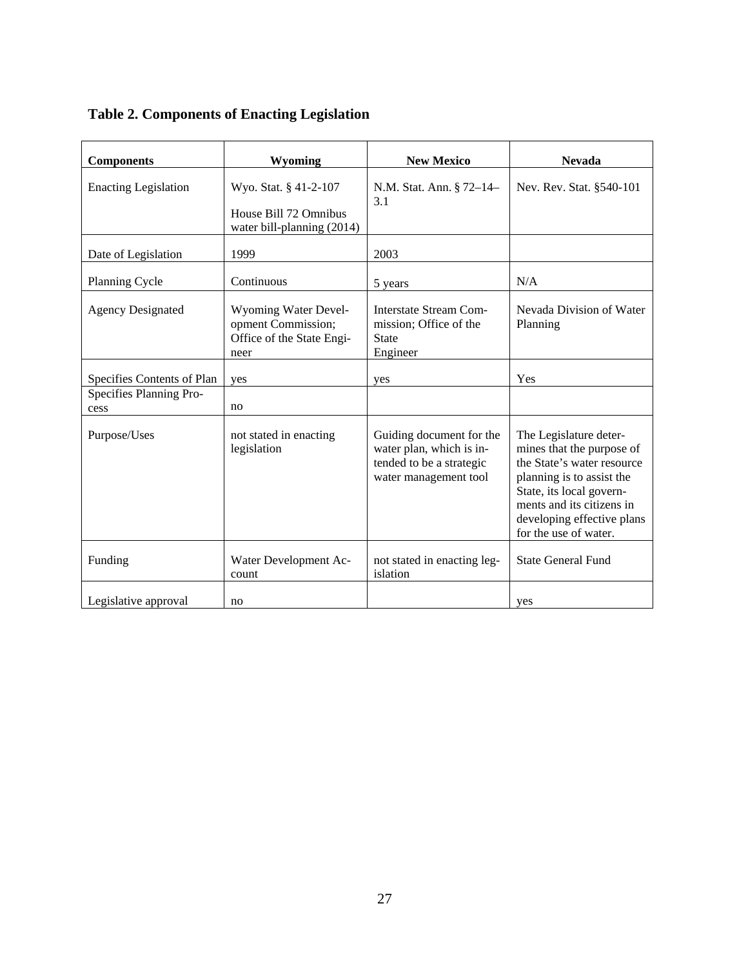**Table 2. Components of Enacting Legislation** 

| <b>Components</b>               | Wyoming                                                                                | <b>New Mexico</b>                                                                                         | <b>Nevada</b>                                                                                                                                                                                                                  |
|---------------------------------|----------------------------------------------------------------------------------------|-----------------------------------------------------------------------------------------------------------|--------------------------------------------------------------------------------------------------------------------------------------------------------------------------------------------------------------------------------|
| <b>Enacting Legislation</b>     | Wyo. Stat. § 41-2-107<br>House Bill 72 Omnibus<br>water bill-planning (2014)           | N.M. Stat. Ann. § 72-14-<br>3.1                                                                           | Nev. Rev. Stat. §540-101                                                                                                                                                                                                       |
| Date of Legislation             | 1999                                                                                   | 2003                                                                                                      |                                                                                                                                                                                                                                |
| Planning Cycle                  | Continuous                                                                             | 5 years                                                                                                   | N/A                                                                                                                                                                                                                            |
| <b>Agency Designated</b>        | <b>Wyoming Water Devel-</b><br>opment Commission;<br>Office of the State Engi-<br>neer | <b>Interstate Stream Com-</b><br>mission; Office of the<br><b>State</b><br>Engineer                       | Nevada Division of Water<br>Planning                                                                                                                                                                                           |
| Specifies Contents of Plan      | yes                                                                                    | yes                                                                                                       | Yes                                                                                                                                                                                                                            |
| Specifies Planning Pro-<br>cess | no                                                                                     |                                                                                                           |                                                                                                                                                                                                                                |
| Purpose/Uses                    | not stated in enacting<br>legislation                                                  | Guiding document for the<br>water plan, which is in-<br>tended to be a strategic<br>water management tool | The Legislature deter-<br>mines that the purpose of<br>the State's water resource<br>planning is to assist the<br>State, its local govern-<br>ments and its citizens in<br>developing effective plans<br>for the use of water. |
| Funding                         | Water Development Ac-<br>count                                                         | not stated in enacting leg-<br>islation                                                                   | <b>State General Fund</b>                                                                                                                                                                                                      |
| Legislative approval            | no                                                                                     |                                                                                                           | yes                                                                                                                                                                                                                            |